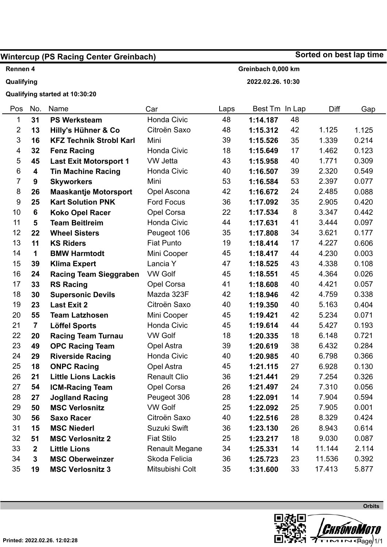|                |                  | Wintercup (PS Racing Center Greinbach) |                       |      |                    |    | Sorted on best lap time |       |
|----------------|------------------|----------------------------------------|-----------------------|------|--------------------|----|-------------------------|-------|
| Rennen 4       |                  |                                        |                       |      | Greinbach 0,000 km |    |                         |       |
| Qualifying     |                  |                                        |                       |      | 2022.02.26. 10:30  |    |                         |       |
|                |                  | Qualifying started at 10:30:20         |                       |      |                    |    |                         |       |
| Pos            | No.              | Name                                   | Car                   | Laps | Best Tm In Lap     |    | Diff                    | Gap   |
| 1              | 31               | <b>PS Werksteam</b>                    | Honda Civic           | 48   | 1:14.187           | 48 |                         |       |
| $\overline{2}$ | 13               | Hilly's Hühner & Co                    | Citroën Saxo          | 48   | 1:15.312           | 42 | 1.125                   | 1.125 |
| 3              | 16               | <b>KFZ Technik Strobl Karl</b>         | Mini                  | 39   | 1:15.526           | 35 | 1.339                   | 0.214 |
| 4              | 32               | <b>Fenz Racing</b>                     | <b>Honda Civic</b>    | 18   | 1:15.649           | 17 | 1.462                   | 0.123 |
| 5              | 45               | <b>Last Exit Motorsport 1</b>          | <b>VW Jetta</b>       | 43   | 1:15.958           | 40 | 1.771                   | 0.309 |
| 6              | 4                | <b>Tin Machine Racing</b>              | Honda Civic           | 40   | 1:16.507           | 39 | 2.320                   | 0.549 |
| 7              | $\boldsymbol{9}$ | <b>Skyworkers</b>                      | Mini                  | 53   | 1:16.584           | 53 | 2.397                   | 0.077 |
| 8              | 26               | <b>Maaskantje Motorsport</b>           | Opel Ascona           | 42   | 1:16.672           | 24 | 2.485                   | 0.088 |
| 9              | 25               | <b>Kart Solution PNK</b>               | <b>Ford Focus</b>     | 36   | 1:17.092           | 35 | 2.905                   | 0.420 |
| 10             | 6                | <b>Koko Opel Racer</b>                 | Opel Corsa            | 22   | 1:17.534           | 8  | 3.347                   | 0.442 |
| 11             | 5                | <b>Team BeitIreim</b>                  | Honda Civic           | 44   | 1:17.631           | 41 | 3.444                   | 0.097 |
| 12             | 22               | <b>Wheel Sisters</b>                   | Peugeot 106           | 35   | 1:17.808           | 34 | 3.621                   | 0.177 |
| 13             | 11               | <b>KS Riders</b>                       | <b>Fiat Punto</b>     | 19   | 1:18.414           | 17 | 4.227                   | 0.606 |
| 14             | 1                | <b>BMW Harmtodt</b>                    | Mini Cooper           | 45   | 1:18.417           | 44 | 4.230                   | 0.003 |
| 15             | 39               | <b>Klima Expert</b>                    | Lancia Y              | 47   | 1:18.525           | 43 | 4.338                   | 0.108 |
| 16             | 24               | <b>Racing Team Sieggraben</b>          | <b>VW Golf</b>        | 45   | 1:18.551           | 45 | 4.364                   | 0.026 |
| 17             | 33               | <b>RS Racing</b>                       | Opel Corsa            | 41   | 1:18.608           | 40 | 4.421                   | 0.057 |
| 18             | 30               | <b>Supersonic Devils</b>               | Mazda 323F            | 42   | 1:18.946           | 42 | 4.759                   | 0.338 |
| 19             | 23               | <b>Last Exit 2</b>                     | Citroën Saxo          | 40   | 1:19.350           | 40 | 5.163                   | 0.404 |
| 20             | 55               | <b>Team Latzhosen</b>                  | Mini Cooper           | 45   | 1:19.421           | 42 | 5.234                   | 0.071 |
| 21             | $\overline{7}$   | <b>Löffel Sports</b>                   | Honda Civic           | 45   | 1:19.614           | 44 | 5.427                   | 0.193 |
| 22             | 20               | <b>Racing Team Turnau</b>              | <b>VW Golf</b>        | 18   | 1:20.335           | 18 | 6.148                   | 0.721 |
| 23             | 49               | <b>OPC Racing Team</b>                 | Opel Astra            | 39   | 1:20.619           | 38 | 6.432                   | 0.284 |
| 24             | 29               | <b>Riverside Racing</b>                | Honda Civic           | 40   | 1:20.985           | 40 | 6.798                   | 0.366 |
| 25             | 18               | <b>ONPC Racing</b>                     | Opel Astra            | 45   | 1:21.115           | 27 | 6.928                   | 0.130 |
| 26             | 21               | <b>Little Lions Lackis</b>             | <b>Renault Clio</b>   | 36   | 1:21.441           | 29 | 7.254                   | 0.326 |
| 27             | 54               | <b>ICM-Racing Team</b>                 | Opel Corsa            | 26   | 1:21.497           | 24 | 7.310                   | 0.056 |
| 28             | 27               | <b>Jogliand Racing</b>                 | Peugeot 306           | 28   | 1:22.091           | 14 | 7.904                   | 0.594 |
| 29             | 50               | <b>MSC Verlosnitz</b>                  | <b>VW Golf</b>        | 25   | 1:22.092           | 25 | 7.905                   | 0.001 |
| 30             | 56               | <b>Saxo Racer</b>                      | Citroën Saxo          | 40   | 1:22.516           | 28 | 8.329                   | 0.424 |
| 31             | 15               | <b>MSC Niederl</b>                     | Suzuki Swift          | 36   | 1:23.130           | 26 | 8.943                   | 0.614 |
| 32             | 51               | <b>MSC Verlosnitz 2</b>                | <b>Fiat Stilo</b>     | 25   | 1:23.217           | 18 | 9.030                   | 0.087 |
| 33             | $\mathbf{2}$     | <b>Little Lions</b>                    | <b>Renault Megane</b> | 34   | 1:25.331           | 14 | 11.144                  | 2.114 |
| 34             | $\mathbf{3}$     | <b>MSC Oberweinzer</b>                 | Skoda Felicia         | 36   | 1:25.723           | 23 | 11.536                  | 0.392 |
| 35             | 19               | <b>MSC Verlosnitz 3</b>                | Mitsubishi Colt       | 35   | 1:31.600           | 33 | 17.413                  | 5.877 |
|                |                  |                                        |                       |      |                    |    |                         |       |

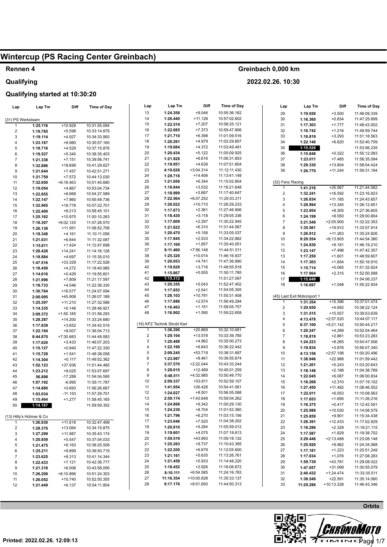## Rennen 4

#### Qualifying

### Qualifying started at 10:30:20

| Lap                     | Lap Tm                   | Diff        | <b>Time of Day</b> | Lap                      | Lap Tm                       | Diff        | <b>Time of Day</b> | Lap                     | Lap Tm                      | Diff        | <b>Time of Day</b> |
|-------------------------|--------------------------|-------------|--------------------|--------------------------|------------------------------|-------------|--------------------|-------------------------|-----------------------------|-------------|--------------------|
|                         |                          |             |                    | 13                       | 1:24.358                     | $+9.046$    | 10:55:36.162       | 29                      | 1:19.026                    | $+3.500$    | 11:46:09.339       |
| (31) PS Werksteam       |                          |             |                    | 14                       | 1:26.440                     | $+11.128$   | 10:57:02.602       | 30                      | 1:16.360                    | $+0.834$    | 11:47:25.699       |
| 1                       | 1:25.116                 | $+10.929$   | 10:31:55.094       | 15                       | 1:22.519                     | $+7.207$    | 10:58:25.121       | 31                      | 1:17.303                    | $+1.777$    | 11:48:43.002       |
| $\overline{2}$          | 1:19.785                 | $+5.598$    | 10:33:14.879       | 16                       | 1:22.685                     | $+7.373$    | 10:59:47.806       | 32                      | 1:16.742                    | $+1.216$    | 11:49:59.744       |
| 3                       | 1:19.114                 | $+4.927$    | 10:34:33.993       | 17                       | 1:21.710                     | $+6.398$    | 11:01:09.516       | 33                      | 1:18.819                    | $+3.293$    | 11:51:18.563       |
| 4                       | 1:23.167                 | $+8.980$    | 10:35:57.160       | 18                       | 1:20.291                     | $+4.979$    | 11:02:29.807       | 34                      | 1:22.146                    | $+6.620$    | 11:52:40.709       |
| 5                       |                          | $+4.529$    | 10:37:15.876       | 19                       | 1:19.684                     | $+4.372$    | 11:03:49.491       | 35                      | 1:15.526                    |             | 11:53:56.235       |
| 6                       | 1:18.716                 |             |                    | 20                       | 1:20.434                     | $+5.122$    | 11:05:09.925       | 36                      | 1:15.848                    | $+0.322$    | 11:55:12.083       |
|                         | 1:19.527                 | $+5.340$    | 10:38:35.403       | 21                       | 1:21.928                     | $+6.616$    | 11:06:31.853       | 37                      | 1:23.011                    | $+7.485$    | 11:56:35.094       |
| $\overline{7}$          | 1:21.338                 | $+7.151$    | 10:39:56.741       | 22                       | 1:19.951                     | $+4.639$    | 11:07:51.804       | 38                      | 1:29.330                    | $+13.804$   | 11:58:04.424       |
| 8                       | 1:32.886                 | +18.699     | 10:41:29.627       | 23                       | 4:19.626                     | $+3:04.314$ | 11:12:11.430       | 39                      |                             | $+11.244$   | 11:59:31.194       |
| 9                       | 1:21.644                 | $+7.457$    | 10:42:51.271       | 24                       | 1:29.718                     | $+14.406$   | 11:13:41.148       |                         | 1:26.770                    |             |                    |
| 10                      | 1:21.759                 | $+7.572$    | 10:44:13.030       | 25                       | 1:21.656                     | $+6.344$    | 11:15:02.804       |                         |                             |             |                    |
| 11                      | 7:32.650                 | $+6:18.463$ | 10:51:45.680       |                          |                              |             |                    |                         | (32) Fenz Racing            |             |                    |
| 12                      | 1:19.054                 | $+4.867$    | 10:53:04.734       | 26                       | 1:18.844                     | $+3.532$    | 11:16:21.648       | 1                       | 1:41.216                    | $+25.567$   | 11:21:44.582       |
| 13                      | 1:22.855                 | $+8.668$    | 10:54:27.589       | $27\,$                   | 1:18.999                     | $+3.687$    | 11:17:40.647       | $\overline{\mathbf{c}}$ | 1:32.241                    | $+16.592$   | 11:23:16.823       |
| 14                      | 1:22.147                 | $+7.960$    | 10:55:49.736       | 28                       | 7:22.564                     | +6:07.252   | 11:25:03.211       | 3                       | 1:26.834                    | $+11.185$   | 11:24:43.657       |
| 15                      | 1:32.965                 | $+18.778$   | 10:57:22.701       | 29                       | 1:26.022                     | $+10.710$   | 11:26:29.233       | $\overline{4}$          | 1:28.994                    | $+13.345$   | 11:26:12.651       |
| $16\,$                  | 1:22.400                 | $+8.213$    | 10:58:45.101       | $30\,$                   | 1:17.673                     | $+2.361$    | 11:27:46.906       | 5                       | 1:23.954                    | $+8.305$    | 11:27:36.605       |
| 17                      | 1:25.162                 | $+10.975$   | 11:00:10.263       | $31\,$                   | 1:18.430                     | $+3.118$    | 11:29:05.336       | 6                       | 1:24.199                    | $+8.550$    | 11:29:00.804       |
| 18                      | 7:16.307                 | $+6:02.120$ | 11:07:26.570       | 32                       | 1:17.609                     | $+2.297$    | 11:30:22.945       | $\overline{7}$          | 3:21.549                    | $+2:05.900$ | 11:32:22.353       |
| 19                      | 1:26.138                 | $+11.951$   | 11:08:52.708       | 33                       | 1:21.622                     | $+6.310$    | 11:31:44.567       | 8                       | 1:35.561                    | $+19.912$   | 11:33:57.914       |
| 20                      | 1:18.348                 | $+4.161$    | 11:10:11.056       | 34                       | 1:20.470                     | $+5.158$    | 11:33:05.037       | 9                       | 1:26.912                    | $+11.263$   | 11:35:24.826       |
| 21                      | 1:21.031                 | $+6.844$    | 11:11:32.087       | 35                       | 1:17.845                     | $+2.533$    | 11:34:22.882       | 10                      | 9:29.554                    | $+8:13.905$ | 11:44:54.380       |
| 22                      | 1:15.611                 | $+1.424$    | 11:12:47.698       | 36                       | 1:17.169                     | $+1.857$    | 11:35:40.051       | 11                      | 1:24.830                    | $+9.181$    | 11:46:19.210       |
| 23                      | 1:28.428                 | $+14.241$   | 11:14:16.126       | 37                       | 9:11.460                     | $+7:56.148$ | 11:44:51.511       | 12                      | 1:23.147                    | $+7.498$    | 11:47:42.357       |
| 24                      | 1:18.884                 | $+4.697$    | 11:15:35.010       | 38                       | 1:25.326                     | $+10.014$   | 11:46:16.837       | 13                      | 1:17.250                    | $+1.601$    | 11:48:59.607       |
| 25                      | 1:47.516                 | +33.329     | 11:17:22.526       | 39                       | 1:20.053                     | $+4.741$    | 11:47:36.890       | 14                      | 1:17.303                    | $+1.654$    | 11:50:16.910       |
| 26                      | 1:18.459                 | $+4.272$    | 11:18:40.985       | 40                       | 1:19.028                     | $+3.716$    | 11:48:55.918       | 15                      | 1:15.714                    | $+0.065$    | 11:51:32.624       |
| 27                      | 1:14.616                 | $+0.429$    | 11:19:55.601       | 41                       | 1:15.867                     | $+0.555$    | 11:50:11.785       | 16                      | 1:17.964                    | $+2.315$    | 11:52:50.588       |
| 28                      | 1:21.996                 | $+7.809$    | 11:21:17.597       | 42                       | 1:15.312                     |             | 11:51:27.097       | 17                      | 1:15.649                    |             | 11:54:06.237       |
| 29                      | 1:18.733                 | $+4.546$    | 11:22:36.330       | 43                       | 1:20.355                     | $+5.043$    | 11:52:47.452       | 18                      | 1:16.697                    | $+1.048$    | 11:55:22.934       |
| 30                      | 1:30.764                 | $+16.577$   | 11:24:07.094       | 44                       | 1:17.853                     | $+2.541$    | 11:54:05.305       |                         |                             |             |                    |
| 31                      |                          | +45.908     | 11:26:07.189       | 45                       | 1:26.103                     | $+10.791$   | 11:55:31.408       |                         | (45) Last Exit Motorsport 1 |             |                    |
|                         | 2:00.095                 |             |                    | 46                       | 1:17.886                     | $+2.574$    | 11:56:49.294       | $\mathbf{1}$            | 1:31.354                    | $+15.396$   | 10:37:01.474       |
| 32                      | 1:25.397                 | $+11.210$   | 11:27:32.586       | 47                       | 1:16.463                     | $+1.151$    | 11:58:05.757       | $\overline{\mathbf{c}}$ | 1:20.650                    | $+4.692$    | 10:38:22.124       |
| 33                      | 1:14.335                 | $+0.148$    | 11:28:46.921       | 48                       | 1:16.902                     | $+1.590$    | 11:59:22.659       | 3                       | 1:31.515                    | $+15.557$   | 10:39:53.639       |
| 34                      | 3:09.372                 | $+1:55.185$ | 11:31:56.293       |                          |                              |             |                    | $\overline{4}$          | 4:13.478                    | $+2:57.520$ | 10:44:07.117       |
| 35                      | 1:28.387                 | $+14.200$   | 11:33:24.680       |                          | (16) KFZ Technik Strobl Karl |             |                    | 5                       | 6:37.100                    | $+5:21.142$ | 10:50:44.217       |
| $36\,$                  | 1:17.839                 | $+3.652$    | 11:34:42.519       | 1                        | 1:36.395                     | $+20.869$   | 10:32:10.681       | 6                       |                             |             |                    |
| 37                      | 1:22.194                 | $+8.007$    | 11:36:04.713       | 2                        | 1:29.104                     | $+13.578$   | 10:33:39.785       |                         | 1:20.247                    | $+4.289$    | 10:52:04.464       |
| 38                      | 8:44.870                 | +7:30.683   | 11:44:49.583       | 3                        | 1:20.488                     | $+4.962$    | 10:35:00.273       | $\overline{7}$          | 1:18.819                    | $+2.861$    | 10:53:23.283       |
| 39                      | 1:17.620                 | $+3.433$    | 11:46:07.203       |                          |                              |             |                    | 8                       | 1:24.223                    | $+8.265$    | 10:54:47.506       |
| 40                      | 1:15.127                 | $+0.940$    | 11:47:22.330       | 4                        | 1:22.169                     | $+6.643$    | 10:36:22.442       | 9                       | 1:19.834                    | $+3.876$    | 10:56:07.340       |
| 41                      | 1:15.728                 | $+1.541$    | 11:48:38.058       | 5                        | 2:09.245                     | $+53.719$   | 10:38:31.687       | 10                      | 4:13.156                    | +2:57.198   | 11:00:20.496       |
| 42                      | 1:14.304                 | $+0.117$    | 11:49:52.362       | 6                        | 1:23.987                     | $+8.461$    | 10:39:55.674       | 11                      | 1:38.946                    | +22.988     | 11:01:59.442       |
| 43                      | 1:52.123                 | $+37.936$   | 11:51:44.485       | $\overline{\mathcal{I}}$ | 3:37.570                     | $+2:22.044$ | 10:43:33.244       | 12                      | 1:21.201                    | $+5.243$    | 11:03:20.643       |
| 44                      | 1:23.212                 | $+9.025$    | 11:53:07.697       | 8                        | 1:28.015                     | $+12.489$   | 10:45:01.259       | 13                      | 1:18.146                    | $+2.188$    | 11:04:38.789       |
| 45                      | 56.898                   | $-17.289$   | 11:54:04.595       | 9                        | 5:48.511                     | +4:32.985   | 10:50:49.770       | 14                      | 1:22.045                    | $+6.087$    | 11:06:00.834       |
| 46                      | 1:07.192                 | $-6.995$    | 11:55:11.787       | 10                       | 2:09.337                     | $+53.811$   | 10:52:59.107       | 15                      | 1:18.268                    | $+2.310$    | 11:07:19.102       |
| 47                      | 1:14.880                 | $+0.693$    | 11:56:26.667       | 11                       | 1:41.954                     | $+26.428$   | 10:54:41.061       | 16                      | 1:27.450                    | $+11.492$   | 11:08:46.552       |
| 48                      | 1:03.034                 | $-11.153$   | 11:57:29.701       | 12                       | 1:24.027                     | $+8.501$    | 10:56:05.088       | 17                      | 1:22.011                    | $+6.053$    | 11:10:08.563       |
| 49                      | 1:15.464                 | $+1.277$    | 11:58:45.165       | 13                       | 2:59.174                     | +1:43.648   | 10:59:04.262       | 18                      | 1:17.653                    | $+1.695$    | 11:11:26.216       |
| 50                      | 1:14.187                 |             | 11:59:59.352       | 14                       | 1:24.868                     | $+9.342$    | 11:00:29.130       | 19                      | 1:16.375                    | $+0.417$    | 11:12:42.591       |
|                         |                          |             |                    | 15                       | 1:24.230                     | $+8.704$    | 11:01:53.360       | 20                      | 1:25.988                    | $+10.030$   | 11:14:08.579       |
|                         | (13) Hilly's Hühner & Co |             |                    | 16                       | 1:21.796                     | $+6.270$    | 11:03:15.156       | 21                      | 1:25.859                    | $+9.901$    | 11:15:34.438       |
| 1                       | 1:26.930                 | $+11.618$   | 10:32:47.499       | 17                       | 1:23.046                     | $+7.520$    | 11:04:38.202       | 22                      | 1:28.391                    | $+12.433$   | 11:17:02.829       |
| $\overline{\mathbf{c}}$ | 1:28.376                 | $+13.064$   | 10:34:15.875       | 18                       | 1:20.810                     | $+5.284$    | 11:05:59.012       | 23                      | 1:18.286                    | $+2.328$    | 11:18:21.115       |
| 3                       | 1:27.299                 | $+11.987$   | 10:35:43.174       | 19                       | 1:19.601                     | $+4.075$    | 11:07:18.613       | 24                      | 1:17.587                    | $+1.629$    | 11:19:38.702       |
| 4                       | 1:20.859                 | $+5.547$    | 10:37:04.033       | 20                       | 1:59.519                     | +43.993     | 11:09:18.132       | 25                      | 3:29.446                    | +2:13.488   | 11:23:08.148       |
| 5                       | 1:21.475                 | $+6.163$    | 10:38:25.508       | 21                       | 1:25.263                     | $+9.737$    | 11:10:43.395       | 26                      | 1:25.920                    | $+9.962$    | 11:24:34.068       |
| 6                       | 1:25.211                 | $+9.899$    | 10:39:50.719       | 22                       | 1:22.205                     | $+6.679$    | 11:12:05.600       | 27                      | 1:17.181                    | $+1.223$    | 11:25:51.249       |
| 7                       | 1:23.625                 | $+8.313$    | 10:41:14.344       | 23                       | 1:21.161                     | $+5.635$    | 11:13:26.761       | 28                      | 1:17.034                    | $+1.076$    | 11:27:08.283       |
| 8                       | 1:22.433                 | $+7.121$    | 10:42:36.777       | 24                       | 1:21.459                     | $+5.933$    | 11:14:48.220       | 29                      | 1:59.739                    | $+43.781$   | 11:29:08.022       |
|                         |                          |             |                    | 25                       | 1:18.452                     | $+2.926$    | 11:16:06.672       | 30                      | 1:47.057                    | $+31.099$   | 11:30:55.079       |
| 9                       | 1:21.318                 | $+6.006$    | 10:43:58.095       | 26                       | 8:10.111                     | +6:54.585   | 11:24:16.783       | 31                      | 2:40.432                    | $+1:24.474$ | 11:33:35.511       |
| 10                      | 7:26.208                 | +6:10.896   | 10:51:24.303       | 27                       | 11:16.354                    | +10:00.828  | 11:35:33.137       | 32                      | 1:38.549                    | $+22.591$   | 11:35:14.060       |
| 11                      | 1:26.052                 | $+10.740$   | 10:52:50.355       | 28                       | 9:17.176                     | +8:01.650   | 11:44:50.313       | 33                      | 11:29.286                   | +10:13.328  | 11:46:43.346       |
| 12                      | 1:21.449                 | $+6.137$    | 10:54:11.804       |                          |                              |             |                    |                         |                             |             |                    |

Greinbach 0,000 km

2022.02.26. 10:30

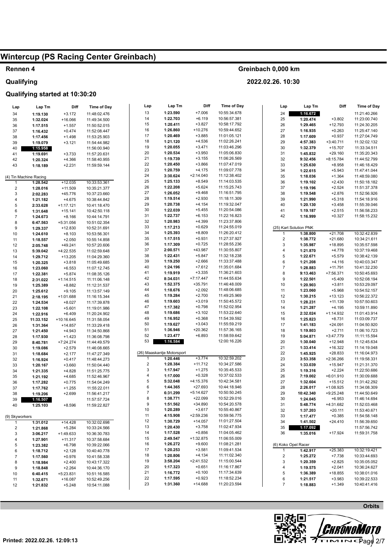## Rennen 4

#### Qualifying

### Qualifying started at 10:30:20

| Lap            | Lap Tm                 | Diff        | <b>Time of Day</b> | Lap                     | Lap Tm                     | Diff        | <b>Time of Day</b> | Lap                     | Lap Tm                 | Diff        | <b>Time of Day</b> |
|----------------|------------------------|-------------|--------------------|-------------------------|----------------------------|-------------|--------------------|-------------------------|------------------------|-------------|--------------------|
| 34             | 1:19.130               | $+3.172$    | 11:48:02.476       | 13                      | 1:23.590                   | $+7.006$    | 10:55:34.678       | 24                      | 1:16.672               |             | 11:21:40.266       |
| 35             | 1:32.024               | $+16.066$   | 11:49:34.500       | 14                      | 1:22.703                   | $+6.119$    | 10:56:57.381       | 25                      | 1:20.474               | $+3.802$    | 11:23:00.740       |
| 36             | 1:17.515               | $+1.557$    | 11:50:52.015       | 15                      | 1:20.411                   | $+3.827$    | 10:58:17.792       | 26                      | 1:29.465               | $+12.793$   | 11:24:30.205       |
| 37             | 1:16.432               | $+0.474$    | 11:52:08.447       | 16                      | 1:26.860                   | $+10.276$   | 10:59:44.652       | 27                      | 1:16.935               | $+0.263$    | 11:25:47.140       |
| 38             | 1:17.456               | $+1.498$    | 11:53:25.903       | 17                      | 1:20.469                   | $+3.885$    | 11:01:05.121       | 28                      | 1:17.609               | $+0.937$    | 11:27:04.749       |
| 39             | 1:19.079               | $+3.121$    | 11:54:44.982       | 18                      | 1:21.120                   | $+4.536$    | 11:02:26.241       | 29                      | 4:57.383               | $+3:40.711$ | 11:32:02.132       |
| 40             | 1:15.958               |             | 11:56:00.940       | 19                      | 1:20.055                   | $+3.471$    | 11:03:46.296       | 30                      | 1:32.379               | $+15.707$   | 11:33:34.511       |
| 41             | 1:19.691               | $+3.733$    | 11:57:20.631       | 20                      | 1:20.534                   | $+3.950$    | 11:05:06.830       | 31                      | 1:45.832               | $+29.160$   | 11:35:20.343       |
| 42             | 1:20.324               | $+4.366$    | 11:58:40.955       | 21                      | 1:19.739                   | $+3.155$    | 11:06:26.569       | 32                      | 9:32.456               | +8:15.784   | 11:44:52.799       |
| 43             | 1:18.189               | $+2.231$    | 11:59:59.144       | 22                      | 1:20.450                   | $+3.866$    | 11:07:47.019       | 33                      | 1:25.630               | $+8.958$    | 11:46:18.429       |
|                |                        |             |                    | 23                      | 1:20.759                   | $+4.175$    | 11:09:07.778       | 34                      | 1:22.615               | $+5.943$    | 11:47:41.044       |
|                | (4) Tin Machine Racing |             |                    | 24                      | 3:30.624                   | $+2:14.040$ | 11:12:38.402       | 35                      | 1:18.036               | $+1.364$    | 11:48:59.080       |
|                | 1:28.542               | $+12.035$   | 10:33:53.361       | 25                      | 1:25.133                   | $+8.549$    | 11:14:03.535       | 36                      | 1:19.102               | $+2.430$    | 11:50:18.182       |
| $\overline{c}$ | 1:28.016               | $+11.509$   | 10:35:21.377       | 26                      | 1:22.208                   | $+5.624$    | 11:15:25.743       | 37                      | 1:19.196               | $+2.524$    | 11:51:37.378       |
| 3              | 2:02.283               | +45.776     | 10:37:23.660       | 27                      | 1:26.052                   | $+9.468$    | 11:16:51.795       | 38                      | 1:19.548               | $+2.876$    | 11:52:56.926       |
| 4              | 1:21.182               | $+4.675$    | 10:38:44.842       | 28                      | 1:19.514                   | $+2.930$    | 11:18:11.309       | 39                      | 1:21.990               | $+5.318$    | 11:54:18.916       |
| 5              | 2:33.628               | $+1:17.121$ | 10:41:18.470       | 29                      | 1:20.738                   | $+4.154$    | 11:19:32.047       | 40                      | 1:20.130               | $+3.458$    | 11:55:39.046       |
| 6              | 1:31.648               | $+15.141$   | 10:42:50.118       | 30                      | 1:22.039                   | $+5.455$    | 11:20:54.086       | 41                      | 1:19.187               | $+2.515$    | 11:56:58.233       |
| $\overline{7}$ | 1:24.673               | $+8.166$    | 10:44:14.791       | 31                      | 1:22.737                   | $+6.153$    | 11:22:16.823       | 42                      | 1:16.999               | $+0.327$    | 11:58:15.232       |
| 8              | 6:47.563               | $+5:31.056$ | 10:51:02.354       | 32                      | 1:20.983                   | $+4.399$    | 11:23:37.806       |                         |                        |             |                    |
| 9              | 1:29.337               | $+12.830$   | 10:52:31.691       | 33                      | 1:17.213                   | $+0.629$    | 11:24:55.019       |                         | (25) Kart Solution PNK |             |                    |
| $10$           | 1:24.610               | $+8.103$    | 10:53:56.301       | 34                      | 1:25.393                   | $+8.809$    | 11:26:20.412       | 1                       | 1:38.800               | $+21.708$   | 10:32:42.839       |
| 11             | 1:18.557               | $+2.050$    | 10:55:14.858       | 35                      | 1:17.515                   | $+0.931$    | 11:27:37.927       | $\overline{2}$          | 1:38.772               | $+21.680$   | 10:34:21.611       |
| 12             |                        | $+49.241$   |                    | 36                      | 1:17.309                   | $+0.725$    | 11:28:55.236       | 3                       | 1:35.987               | +18.895     | 10:35:57.598       |
|                | 2:05.748               |             | 10:57:20.606       | 37                      | 2:00.571                   | +43.987     | 11:30:55.807       | 4                       | 1:21.870               | $+4.778$    | 10:37:19.468       |
| 13             | 5:39.042               | $+4:22.535$ | 11:02:59.648       | 38                      | 1:22.431                   | $+5.847$    | 11:32:18.238       | 5                       | 1:22.671               | $+5.579$    |                    |
| 14             | 1:29.712               | $+13.205$   | 11:04:29.360       | 39                      | 1:19.250                   | $+2.666$    | 11:33:37.488       | 6                       |                        | $+4.116$    | 10:38:42.139       |
| 15             | 1:20.325               | $+3.818$    | 11:05:49.685       | 40                      | 1:24.196                   | $+7.612$    | 11:35:01.684       | $\overline{7}$          | 1:21.208               |             | 10:40:03.347       |
| 16             | 1:23.060               | $+6.553$    | 11:07:12.745       | 41                      | 1:19.919                   | $+3.335$    | 11:36:21.603       |                         | 1:28.883               | $+11.791$   | 10:41:32.230       |
| 17             | 1:22.381               | $+5.874$    | 11:08:35.126       | 42                      |                            | $+7:17.447$ | 11:44:55.634       | 8                       | 9:13.463               | $+7:56.371$ | 10:50:45.693       |
| 18             | 2:31.022               | $+1:14.515$ | 11:11:06.148       |                         | 8:34.031                   |             |                    | 9                       | 1:22.501               | $+5.409$    | 10:52:08.194       |
| 19             | 1:25.389               | $+8.882$    | 11:12:31.537       | 43                      | 1:52.375                   | $+35.791$   | 11:46:48.009       | $10$                    | 1:20.903               | $+3.811$    | 10:53:29.097       |
| 20             | 1:25.612               | $+9.105$    | 11:13:57.149       | 44                      | 1:18.676                   | $+2.092$    | 11:48:06.685       | 11                      | 1:23.060               | $+5.968$    | 10:54:52.157       |
| 21             | 2:18.195               | +1:01.688   | 11:16:15.344       | 45                      | 1:19.284                   | $+2.700$    | 11:49:25.969       | 12                      | 1:30.215               | $+13.123$   | 10:56:22.372       |
| 22             | 1:24.534               | $+8.027$    | 11:17:39.878       | 46                      | 1:19.603                   | $+3.019$    | 11:50:45.572       | 13                      | 1:28.231               | $+11.139$   | 10:57:50.603       |
| 23             | 1:22.108               | $+5.601$    | 11:19:01.986       | 47                      | 1:17.382                   | $+0.798$    | 11:52:02.954       | 14                      | 1:21.287               | $+4.195$    | 10:59:11.890       |
| 24             | 1:22.916               | $+6.409$    | 11:20:24.902       | 48                      | 1:19.686                   | $+3.102$    | 11:53:22.640       | 15                      | 2:32.024               | +1:14.932   | 11:01:43.914       |
| 25             | 11:33.152              | +10:16.645  | 11:31:58.054       | 49                      | 1:16.952                   | $+0.368$    | 11:54:39.592       | 16                      | 1:25.823               | $+8.731$    | 11:03:09.737       |
| 26             | 1:31.364               | $+14.857$   | 11:33:29.418       | 50                      | 1:19.627                   | $+3.043$    | 11:55:59.219       | 17                      | 1:41.183               | $+24.091$   | 11:04:50.920       |
| 27             | 1:21.450               | $+4.943$    | 11:34:50.868       | 51                      | 1:36.946                   | $+20.362$   | 11:57:36.165       | 18                      | 1:19.803               | $+2.711$    | 11:06:10.723       |
| 28             | 1:17.930               | $+1.423$    | 11:36:08.798       | 52                      | 1:23.477                   | $+6.893$    | 11:58:59.642       | 19                      | 5:04.871               | +3:47.779   | 11:11:15.594       |
| 29             | 8:40.781               | $+7:24.274$ | 11:44:49.579       | 53                      | 1:16.584                   |             | 12:00:16.226       | 20                      | 1:30.040               | $+12.948$   | 11:12:45.634       |
| $30\,$         | 1:19.086               | $+2.579$    | 11:46:08.665       |                         |                            |             |                    | 21                      | 1:33.414               | $+16.322$   | 11:14:19.048       |
| 31             | 1:18.684               | $+2.177$    | 11:47:27.349       |                         | (26) Maaskantje Motorsport |             |                    | 22                      | 1:45.925               | +28.833     | 11:16:04.973       |
| 32             | 1:16.924               | $+0.417$    | 11:48:44.273       | $\mathbf{1}$            | 1:20.446                   | $+3.774$    | 10:32:59.202       | 23                      | 3:53.358               | $+2:36.266$ | 11:19:58.331       |
| 33             | 1:20.167               | $+3.660$    | 11:50:04.440       | $\boldsymbol{2}$        | 1:28.384                   | $+11.712$   | 10:34:27.586       | 24                      | 1:33.039               | $+15.947$   | 11:21:31.370       |
| 34             | 1:21.335               | $+4.828$    | 11:51:25.775       | 3                       | 1:17.947                   | $+1.275$    | 10:35:45.533       | 25                      | 1:19.316               | $+2.224$    | 11:22:50.686       |
| 35             | 1:21.192               | $+4.685$    | 11:52:46.967       | $\overline{\mathbf{4}}$ | 1:17.000                   | $+0.328$    | 10:37:02.533       | 26                      | 7:19.002               | +6:01.910   | 11:30:09.688       |
| 36             | 1:17.282               | $+0.775$    | 11:54:04.249       | 5                       | 5:32.048                   | +4:15.376   | 10:42:34.581       | 27                      | 1:32.604               | $+15.512$   | 11:31:42.292       |
| 37             | 1:17.762               | $+1.255$    | 11:55:22.011       | $\,6$                   | 1:44.365                   | $+27.693$   | 10:44:18.946       | 28                      | 2:26.017               | +1:08.925   | 11:34:08.309       |
| 38             | 1:19.206               | $+2.699$    | 11:56:41.217       | $\overline{7}$          | 6:31.299                   | +5:14.627   | 10:50:50.245       | 29                      | 10:42.340              | +9:25.248   | 11:44:50.649       |
| 39             | 1:16.507               |             | 11:57:57.724       | 8                       | 1:38.771                   | $+22.099$   | 10:52:29.016       | 30                      | 1:24.045               | $+6.953$    | 11:46:14.694       |
| 40             | 1:25.103               | $+8.596$    | 11:59:22.827       | 9                       | 1:51.562                   | $+34.890$   | 10:54:20.578       | 31                      | 5:48.774               | +4:31.682   | 11:52:03.468       |
|                |                        |             |                    | 10                      | 1:20.289                   | $+3.617$    | 10:55:40.867       | 32                      | 1:37.203               | $+20.111$   | 11:53:40.671       |
| (9) Skyworkers |                        |             |                    | 11                      | 4:15.908                   | +2:59.236   | 10:59:56.775       | 33                      | 1:17.477               | $+0.385$    | 11:54:58.148       |
| $\mathbf{1}$   | 1:31.012               | $+14.428$   | 10:32:02.698       | 12                      | 1:30.729                   | $+14.057$   | 11:01:27.504       | 34                      | 1:41.502               | $+24.410$   | 11:56:39.650       |
| $\overline{c}$ | 1:21.868               | $+5.284$    | 10:33:24.566       | 13                      | 1:20.430                   | $+3.758$    | 11:02:47.934       | 35                      | 1:17.092               |             | 11:57:56.742       |
| 3              | 3:06.217               | +1:49.633   | 10:36:30.783       | 14                      | 1:17.528                   | $+0.856$    | 11:04:05.462       | 36                      | 1:35.016               | $+17.924$   | 11:59:31.758       |
| 4              | 1:27.901               | $+11.317$   | 10:37:58.684       | 15                      | 2:49.547                   | +1:32.875   | 11:06:55.009       |                         |                        |             |                    |
| $\,$ 5 $\,$    | 1:23.382               | $+6.798$    | 10:39:22.066       | 16                      | 1:26.272                   | $+9.600$    | 11:08:21.281       |                         | (6) Koko Opel Racer    |             |                    |
| 6              | 1:18.712               | $+2.128$    | 10:40:40.778       | 17                      | 1:20.253                   | $+3.581$    | 11:09:41.534       | $\mathbf{1}$            | 1:42.917               | $+25.383$   | 10:32:19.421       |
| $\overline{7}$ | 1:17.560               | $+0.976$    | 10:41:58.338       | 18                      | 1:20.806                   | $+4.134$    | 11:11:02.340       | $\overline{\mathbf{c}}$ | 1:25.272               | $+7.738$    | 10:33:44.693       |
| 8              |                        | $+2.400$    | 10:43:17.322       | 19                      | 3:58.204                   | +2:41.532   | 11:15:00.544       | 3                       | 1:20.359               | $+2.825$    | 10:35:05.052       |
|                | 1:18.984               |             |                    | 20                      | 1:17.323                   | $+0.651$    | 11:16:17.867       | 4                       | 1:19.575               | $+2.041$    | 10:36:24.627       |
| 9              | 1:18.848               | $+2.264$    | 10:44:36.170       | 21                      | 1:16.772                   | $+0.100$    | 11:17:34.639       | 5                       | 1:36.389               | +18.855     |                    |
| 10             | 6:40.415               | +5:23.831   | 10:51:16.585       | 22                      | 1:17.595                   | $+0.923$    | 11:18:52.234       |                         |                        | $+3.983$    | 10:38:01.016       |
| 11             | 1:32.671               | $+16.087$   | 10:52:49.256       | 23                      | 1:31.360                   | +14.688     | 11:20:23.594       | 6<br>$\overline{7}$     | 1:21.517               |             | 10:39:22.533       |
| 12             | 1:21.832               | $+5.248$    | 10:54:11.088       |                         |                            |             |                    |                         | 1:18.883               | $+1.349$    | 10:40:41.416       |

Greinbach 0,000 km 2022.02.26. 10:30

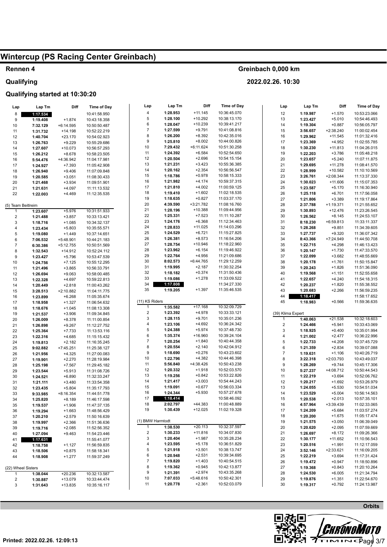# Rennen 4

#### Qualifying

### Qualifying started at 10:30:20

| Lap                          | Lap Tm               | Diff                 | <b>Time of Day</b>           | Lap                     | Lap Tm               | Diff                  | Time of Day                  | Lap                     | Lap Tm               | Diff                 | <b>Time of Day</b>           |
|------------------------------|----------------------|----------------------|------------------------------|-------------------------|----------------------|-----------------------|------------------------------|-------------------------|----------------------|----------------------|------------------------------|
| 8                            | 1:17.534             |                      | 10:41:58.950                 | $\overline{\mathbf{4}}$ | 1:28.953             | $+11.145$             | 10:36:45.070                 | 12                      | 1:19.987             | $+1.570$             | 10:53:23.066                 |
| 9                            | 1:19.408             | $+1.874$             | 10:43:18.358                 | 5                       | 1:28.100             | $+10.292$             | 10:38:13.170                 | 13                      | 1:23.427             | $+5.010$             | 10:54:46.493                 |
| 10                           | 7:32.129             | $+6:14.595$          | 10:50:50.487                 | $\,6$                   | 1:28.047             | $+10.239$             | 10:39:41.217                 | 14                      | 1:19.304             | $+0.887$             | 10:56:05.797                 |
| 11                           | 1:31.732             | $+14.198$            | 10:52:22.219                 | $\overline{7}$          | 1:27.599             | $+9.791$              | 10:41:08.816                 | 15                      | 3:56.657             | $+2:38.240$          | 11:00:02.454                 |
| 12                           | 1:40.704             | $+23.170$            | 10:54:02.923                 | 8                       | 1:26.200             | $+8.392$              | 10:42:35.016                 | 16                      | 1:29.962             | $+11.545$            | 11:01:32.416                 |
| 13                           | 1:26.763             | $+9.229$             | 10:55:29.686                 | 9                       | 1:25.810             | $+8.002$              | 10:44:00.826                 | 17                      | 1:23.369             | $+4.952$             | 11:02:55.785                 |
| 14                           | 1:27.607             | $+10.073$            | 10:56:57.293                 | 10                      | 7:29.432             | +6:11.624             | 10:51:30.258                 | 18                      | 1:30.230             | $+11.813$            | 11:04:26.015                 |
| 15                           | 1:26.212             | $+8.678$             | 10:58:23.505                 | 11                      | 1:24.392             | $+6.584$              | 10:52:54.650                 | 19                      | 1:22.203             | $+3.786$             | 11:05:48.218                 |
| 16                           | 5:54.476             | +4:36.942            | 11:04:17.981                 | 12                      | 1:20.504             | $+2.696$              | 10:54:15.154                 | 20                      | 1:23.657             | $+5.240$             | 11:07:11.875                 |
| 17                           | 1:24.927             | $+7.393$             | 11:05:42.908                 | 13                      | 1:21.231             | $+3.423$              | 10:55:36.385                 | 21                      | 1:29.695             | $+11.278$            | 11:08:41.570                 |
| 18                           | 1:26.940             | $+9.406$             | 11:07:09.848                 | 14                      | 1:20.162             | $+2.354$              | 10:56:56.547                 | 22                      | 1:28.999             | $+10.582$            | 11:10:10.569                 |
| 19                           | 1:20.585             | $+3.051$             | 11:08:30.433                 | 15                      | 1:18.786             | $+0.978$              | 10:58:15.333                 | 23                      | 3:26.761             | $+2:08.344$          | 11:13:37.330                 |
| 20                           | 1:21.468             | $+3.934$             | 11:09:51.901                 | 16                      | 1:21.982             | $+4.174$              | 10:59:37.315                 | 24                      | 1:30.023             | $+11.606$            | 11:15:07.353                 |
| 21                           | 1:21.631             | $+4.097$             | 11:11:13.532                 | 17                      | 1:21.810             | $+4.002$              | 11:00:59.125                 | 25                      | 1:23.587             | $+5.170$             | 11:16:30.940                 |
| 22                           | 1:22.003             | $+4.469$             | 11:12:35.535                 | 18                      | 1:19.410             | $+1.602$              | 11:02:18.535                 | 26                      | 1:25.118             | $+6.701$             | 11:17:56.058                 |
|                              |                      |                      |                              | 19                      | 1:18.635             | $+0.827$              | 11:03:37.170                 | 27                      | 1:21.806             | $+3.389$             | 11:19:17.864                 |
| (5) Team BeitIreim           |                      |                      |                              | 20                      | 4:39.590             | +3:21.782             | 11:08:16.760                 | 28                      | 2:37.788             | $+1:19.371$          | 11:21:55.652                 |
| $\mathbf{1}$                 | 1:23.607             | $+5.976$             | 10:31:51.933                 | 21                      | 1:28.196             | $+10.388$             | 11:09:44.956                 | 29                      | 1:30.893             | $+12.476$            | 11:23:26.545                 |
| $\sqrt{2}$                   | 1:21.488             | $+3.857$             | 10:33:13.421                 | 22                      | 1:25.331             | $+7.523$              | 11:11:10.287                 | 30                      | 1:26.562             | $+8.145$             | 11:24:53.107                 |
| $\mathsf 3$                  | 1:18.716             | $+1.085$             | 10:34:32.137                 | 23                      | 1:24.176             | $+6.368$              | 11:12:34.463                 | 31                      | 8:18.230             | +6:59.813            | 11:33:11.337                 |
| $\overline{4}$               |                      | $+5.803$             | 10:35:55.571                 | 24                      | 1:28.833             | $+11.025$             | 11:14:03.296                 | 32                      | 1:28.268             | $+9.851$             | 11:34:39.605                 |
|                              | 1:23.434             |                      |                              | 25                      | 1:24.529             | $+6.721$              | 11:15:27.825                 | 33                      | 1:27.737             | $+9.320$             | 11:36:07.342                 |
| 5                            | 1:19.080             | $+1.449$             | 10:37:14.651                 | 26                      | 1:26.381             | $+8.573$              | 11:16:54.206                 | 34                      | 8:43.366             | +7:24.949            | 11:44:50.708                 |
| $\,6$                        | 7:06.532             | $+5:48.901$          | 10:44:21.183                 | 27                      | 1:28.754             | $+10.946$             | 11:18:22.960                 | 35                      |                      | $+4.298$             | 11:46:13.423                 |
| $\overline{7}$               | 6:30.386             | +5:12.755            | 10:50:51.569                 | 28                      | 1:23.962             | $+6.154$              | 11:19:46.922                 | 36                      | 1:22.715             |                      |                              |
| 8                            | 1:32.543             | $+14.912$            | 10:52:24.112                 | 29                      | 1:22.764             | $+4.956$              | 11:21:09.686                 |                         | 1:20.147             | $+1.730$             | 11:47:33.570                 |
| 9                            | 1:23.427             | $+5.796$             | 10:53:47.539                 | 30                      | 8:02.573             | +6:44.765             | 11:29:12.259                 | 37                      | 1:22.099             | $+3.682$             | 11:48:55.669                 |
| 10                           | 1:24.756             | $+7.125$             | 10:55:12.295                 | 31                      | 1:19.995             | $+2.187$              | 11:30:32.254                 | 38                      | 1:20.178             | $+1.761$             | 11:50:15.847                 |
| 11                           | 1:21.496             | $+3.865$             | 10:56:33.791                 | 32                      |                      | $+0.374$              |                              | 39                      | 1:20.243             | $+1.826$             | 11:51:36.090                 |
| 12                           | 1:26.694             | $+9.063$             | 10:58:00.485                 | 33                      | 1:18.182<br>1:19.086 | $+1.278$              | 11:31:50.436<br>11:33:09.522 | 40                      | 1:19.568             | $+1.151$             | 11:52:55.658                 |
| 13                           | 1:22.328             | $+4.697$             | 10:59:22.813                 | 34                      |                      |                       |                              | 41                      | 1:22.657             | $+4.240$             | 11:54:18.315                 |
| 14                           | 1:20.449             | $+2.818$             | 11:00:43.262                 | 35                      | 1:17.808             |                       | 11:34:27.330                 | 42                      | 1:20.237             | $+1.820$             | 11:55:38.552                 |
| 15                           | 3:28.513             | +2:10.882            | 11:04:11.775                 |                         | 1:19.205             | $+1.397$              | 11:35:46.535                 | 43                      | 1:20.683             | $+2.266$             | 11:56:59.235                 |
| 16                           | 1:23.899             | $+6.268$             | 11:05:35.674                 | (11) KS Riders          |                      |                       |                              | 44                      | 1:18.417             |                      | 11:58:17.652                 |
| 17                           | 1:18.958             |                      |                              |                         |                      |                       |                              |                         |                      |                      |                              |
|                              |                      | $+1.327$             | 11:06:54.632                 |                         |                      |                       |                              | 45                      | 1:18.983             | $+0.566$             | 11:59:36.635                 |
| 18                           | 1:18.676             | $+1.045$             | 11:08:13.308                 | 1                       | 1:35.582             | $+17.168$             | 10:32:09.729                 |                         |                      |                      |                              |
| 19                           | 1:21.537             | $+3.906$             | 11:09:34.845                 | $\sqrt{2}$              | 1:23.392             | $+4.978$              | 10:33:33.121                 |                         | (39) Klima Expert    |                      |                              |
| 20                           | 1:26.009             | $+8.378$             | 11:11:00.854                 | 3                       | 1:28.115             | $+9.701$              | 10:35:01.236                 | $\mathbf{1}$            | 1:40.063             | $+21.538$            | 10:32:18.603                 |
| 21                           | 1:26.898             | $+9.267$             | 11:12:27.752                 | $\overline{4}$          | 1:23.106             | $+4.692$              | 10:36:24.342                 | $\overline{2}$          | 1:24.466             | $+5.941$             | 10:33:43.069                 |
| 22                           | 1:25.364             | $+7.733$             | 11:13:53.116                 | 5                       | 1:24.388             | $+5.974$              | 10:37:48.730                 | 3                       | 1:18.925             | $+0.400$             | 10:35:01.994                 |
| 23                           | 1:22.316             | $+4.685$             | 11:15:15.432                 | $\,6$                   | 1:35.374             | +16.960               | 10:39:24.104                 | $\overline{\mathbf{4}}$ | 1:21.002             | $+2.477$             | 10:36:22.996                 |
| 24                           | 1:19.813             | $+2.182$             | 11:16:35.245                 | $\overline{7}$          | 1:20.254             | $+1.840$              | 10:40:44.358                 | 5                       | 1:22.733             | $+4.208$             | 10:37:45.729                 |
| 25                           | 9:02.882             | $+7:45.251$          | 11:25:38.127                 | 8                       | 1:20.554             | $+2.140$              | 10:42:04.912                 | 6                       | 1:21.359             | $+2.834$             | 10:39:07.088                 |
| 26                           | 1:21.956             | $+4.325$             | 11:27:00.083                 | 9                       | 1:18.690             | $+0.276$              | 10:43:23.602                 | $\overline{7}$          | 1:19.631             | $+1.106$             | 10:40:26.719                 |
| 27                           | 1:19.901             | $+2.270$             | 11:28:19.984                 | 10                      | 1:22.796             | $+4.382$              | 10:44:46.398                 | 8                       | 3:22.318             | $+2:03.793$          | 10:43:49.037                 |
| 28                           | 1:25.198             | $+7.567$             | 11:29:45.182                 | 11                      | 5:56.840             | +4:38.426             | 10:50:43.238                 | $\boldsymbol{9}$        | 1:28.269             | $+9.744$             | 10:45:17.306                 |
| 29                           | 1:23.544             | $+5.913$             | 11:31:08.726                 | 12                      | 1:20.332             | $+1.918$              | 10:52:03.570                 | 10                      | 5:27.237             | +4:08.712            | 10:50:44.543                 |
| 30                           | 1:24.521             | $+6.890$             | 11:32:33.247                 | 13                      | 1:19.256             | $+0.842$              | 10:53:22.826                 | 11                      | 1:22.219             | $+3.694$             | 10:52:06.762                 |
| 31                           | 1:21.111             | $+3.480$             | 11:33:54.358                 | 14                      | 1:21.417             | $+3.003$              | 10:54:44.243                 | 12                      | 1:20.217             | $+1.692$             | 10:53:26.979                 |
| 32                           | 1:23.435             | $+5.804$             | 11:35:17.793                 | 15                      | 1:19.091             | $+0.677$              | 10:56:03.334                 | 13                      | 1:24.055             | $+5.530$             | 10:54:51.034                 |
| 33                           | 9:33.985             | +8:16.354            | 11:44:51.778                 | 16                      | 1:24.344             | $+5.930$              | 10:57:27.678                 | 14                      | 1:23.529             | $+5.004$             | 10:56:14.563                 |
| 34                           | 1:25.820             | $+8.189$             | 11:46:17.598                 | 17                      | 1:18.414             |                       | 10:58:46.092                 | 15                      | 1:20.538             | $+2.013$             | 10:57:35.101                 |
| 35                           | 1:19.537             | $+1.906$             | 11:47:37.135                 | 18                      | 2:02.797             | +44.383               | 11:00:48.889                 | 16                      | 4:57.964             | +3:39.439            | 11:02:33.065                 |
| 36                           | 1:19.294             | $+1.663$             | 11:48:56.429                 | 19                      | 1:30.439             | $+12.025$             | 11:02:19.328                 | 17                      | 1:24.209             | $+5.684$             | 11:03:57.274                 |
|                              |                      |                      |                              |                         |                      |                       |                              | 18                      | 1:20.200             | $+1.675$             | 11:05:17.474                 |
| 37                           | 1:20.210             | $+2.579$             | 11:50:16.639                 | (1) BMW Harmtodt        |                      |                       |                              | 19                      | 1:21.575             | $+3.050$             | 11:06:39.049                 |
| 38<br>39                     | 1:19.997<br>1:19.716 | $+2.366$<br>$+2.085$ | 11:51:36.636<br>11:52:56.352 | $\mathbf{1}$            | 1:38.530             | $+20.113$             | 10:32:37.597                 | 20                      | 1:20.620             | $+2.095$             | 11:07:59.669                 |
|                              |                      | $+9.463$             | 11:54:23.446                 | $\overline{\mathbf{c}}$ | 1:30.233             | $+11.816$             | 10:34:07.830                 | 21                      | 1:26.697             | $+8.172$             | 11:09:26.366                 |
| 40                           | 1:27.094             |                      |                              | 3                       | 1:20.404             | $+1.987$              | 10:35:28.234                 | 22                      | 1:30.177             | +11.652              | 11:10:56.543                 |
| 41                           | 1:17.631             |                      | 11:55:41.077                 | 4                       | 1:23.595             | $+5.178$              | 10:36:51.829                 |                         | 1:20.516             | $+1.991$             | 11:12:17.059                 |
| 42                           | 1:18.758             | $+1.127$             | 11:56:59.835                 | 5                       | 1:21.918             | $+3.501$              | 10:38:13.747                 | 23                      |                      |                      |                              |
| 43                           | 1:18.506             | $+0.875$             | 11:58:18.341                 | $\,6$                   | 1:20.948             | $+2.531$              | 10:39:34.695                 | 24                      | 3:52.146             | +2:33.621            | 11:16:09.205<br>11:17:31.424 |
| 44                           | 1:18.908             | $+1.277$             | 11:59:37.249                 | $\overline{7}$          | 1:19.820             | $+1.403$              | 10:40:54.515                 | 25                      | 1:22.219             | $+3.694$             |                              |
|                              |                      |                      |                              |                         |                      | $+0.945$              | 10:42:13.877                 | 26                      | 1:19.472             | $+0.947$             | 11:18:50.896                 |
| (22) Wheel Sisters           |                      |                      |                              | 8                       | 1:19.362<br>1:21.391 | $+2.974$              | 10:43:35.268                 | 27                      | 1:19.368             | $+0.843$             | 11:20:10.264                 |
| $\mathbf{1}$                 | 1:38.044             | $+20.236$            | 10:32:13.587                 | 9                       |                      |                       | 10:50:42.301                 | 28                      | 1:24.530             | $+6.005$             | 11:21:34.794                 |
| $\overline{\mathbf{c}}$<br>3 | 1:30.887<br>1:31.643 | $+13.079$<br>+13.835 | 10:33:44.474<br>10:35:16.117 | 10<br>11                | 7:07.033<br>1:20.778 | +5:48.616<br>$+2.361$ | 10:52:03.079                 | 29<br>30                | 1:19.876<br>1:19.317 | $+1.351$<br>$+0.792$ | 11:22:54.670<br>11:24:13.987 |

Greinbach 0,000 km 2022.02.26. 10:30

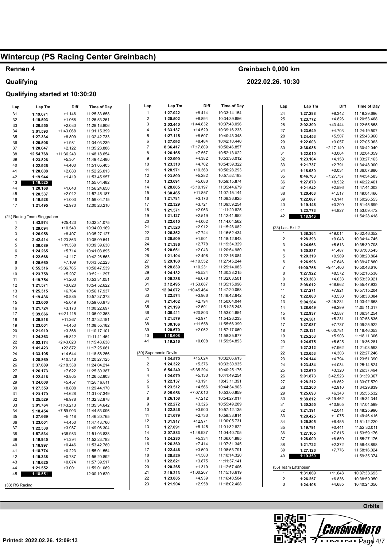## Rennen 4

#### Qualifying

### Qualifying started at 10:30:20

| Lap            | Lap Tm                                  | Diff                     | <b>Time of Day</b>           | Lap                 |
|----------------|-----------------------------------------|--------------------------|------------------------------|---------------------|
| 31             | 1:19.671                                | $+1.146$                 | 11:25:33.658                 | 1                   |
| 32             | 1:19.593                                | $+1.068$                 | 11:26:53.251                 | 2                   |
| 33             | 1:20.555                                | $+2.030$                 | 11:28:13.806                 | 3                   |
| 34             | 3:01.593                                | +1:43.068                | 11:31:15.399                 | 4                   |
| 35             | 1:27.334                                | $+8.809$                 | 11:32:42.733                 | 5                   |
| 36             | 1:20.506                                | $+1.981$                 | 11:34:03.239                 | 6<br>$\overline{7}$ |
| 37             | 1:20.647                                | $+2.122$                 | 11:35:23.886                 | 8                   |
| 38<br>39       | 12:54.768<br>1:23.826                   | $+11:36.243$<br>$+5.301$ | 11:48:18.654<br>11:49:42.480 | 9                   |
| 40             | 1:22.925                                | $+4.400$                 | 11:51:05.405                 | 10                  |
| 41             | 1:20.608                                | $+2.083$                 | 11:52:26.013                 | 11                  |
| 42             | 1:19.944                                | $+1.419$                 | 11:53:45.957                 | 12                  |
| 43             | 1:18.525                                |                          | 11:55:04.482                 | 13                  |
| 44             | 1:20.168                                | $+1.643$                 | 11:56:24.650                 | 14                  |
| 45             | 1:20.537                                | $+2.012$                 | 11:57:45.187                 | 15                  |
| 46             | 1:19.528                                | $+1.003$                 | 11:59:04.715                 | 16                  |
| 47             | 1:21.495                                | $+2.970$                 | 12:00:26.210                 | 17<br>18            |
|                |                                         |                          |                              | 19                  |
| 1              | (24) Racing Team Sieggraben<br>1:43.974 | $+25.423$                | 10:32:31.075                 | 20                  |
| 2              | 1:29.094                                | $+10.543$                | 10:34:00.169                 | 21                  |
| 3              | 1:26.958                                | $+8.407$                 | 10:35:27.127                 | 22                  |
| 4              | 2:42.414                                | +1:23.863                | 10:38:09.541                 | 23                  |
| 5              | 1:30.089                                | +11.538                  | 10:39:39.630                 | 24                  |
| 6              | 1:24.265                                | $+5.714$                 | 10:41:03.895                 | 25                  |
| 7              | 1:22.668                                | $+4.117$                 | 10:42:26.563                 | 26                  |
| 8              | 1:25.660                                | $+7.109$                 | 10:43:52.223                 | 27<br>28            |
| 9              | 6:55.316                                | +5:36.765                | 10:50:47.539                 | 29                  |
| 10<br>11       | 1:23.758                                | $+5.207$                 | 10:52:11.297                 | 30                  |
| 12             | 1:19.754<br>1:21.571                    | $+1.203$<br>$+3.020$     | 10:53:31.051<br>10:54:52.622 | 31                  |
| 13             | 1:25.315                                | $+6.764$                 | 10:56:17.937                 | 32                  |
| 14             | 1:19.436                                | $+0.885$                 | 10:57:37.373                 | 33                  |
| 15             | 1:23.600                                | $+5.049$                 | 10:59:00.973                 | 34                  |
| 16             | 1:21.724                                | $+3.173$                 | 11:00:22.697                 | 35                  |
| 17             | 5:39.666                                | +4:21.115                | 11:06:02.363                 | 36                  |
| 18             | 1:29.818                                | $+11.267$                | 11:07:32.181                 | 37                  |
| 19             | 1:23.001                                | $+4.450$                 | 11:08:55.182                 | 38<br>39            |
| 20             | 1:21.919                                | $+3.368$                 | 11:10:17.101                 | 40                  |
| 21             | 1:24.363                                | $+5.812$                 | 11:11:41.464                 | 41                  |
| 22<br>23       | 4:02.174<br>1:41.423                    | $+2:43.623$<br>+22.872   | 11:15:43.638<br>11:17:25.061 |                     |
| 24             | 1:33.195                                | $+14.644$                | 11:18:58.256                 | (30) Sup            |
| 25             | 1:28.869                                | +10.318                  | 11:20:27.125                 | 1                   |
| 26             | 3:37.089                                | $+2:18.538$              | 11:24:04.214                 | 2                   |
| 27             | 1:26.173                                | $+7.622$                 | 11:25:30.387                 | 3                   |
| 28             | 1:22.416                                | $+3.865$                 | 11:26:52.803                 | 4                   |
| 29             | 1:24.008                                | $+5.457$                 | 11:28:16.811                 | 5                   |
| 30             | 1:27.359                                | $+8.808$                 | 11:29:44.170                 | 6<br>$\overline{7}$ |
| 31             | 1:23.179                                | +4.628                   | 11:31:07.349<br>11:32:32.878 | 8                   |
| 32<br>33       | 1:25.529<br>3:01.764                    | $+6.978$<br>+1:43.213    | 11:35:34.642                 | 9                   |
| 34             | 9:18.454                                | +7:59.903                | 11:44:53.096                 | 10                  |
| 35             | 1:27.669                                | $+9.118$                 | 11:46:20.765                 | 11                  |
| 36             | 1:23.001                                | $+4.450$                 | 11:47:43.766                 | 12                  |
| 37             | 1:22.538                                | $+3.987$                 | 11:49:06.304                 | 13                  |
| 38             | 1:57.534                                | +38.983                  | 11:51:03.838                 | 14                  |
| 39             | 1:19.945                                | $+1.394$                 | 11:52:23.783                 | 15                  |
| 40             | 1:18.997                                | $+0.446$                 | 11:53:42.780                 | 16<br>17            |
| 41             | 1:18.774                                | $+0.223$                 | 11:55:01.554                 | 18                  |
| 42<br>43       | 1:19.338                                | $+0.787$                 | 11:56:20.892<br>11:57:39.517 | 19                  |
| 44             | 1:18.625<br>1:21.552                    | $+0.074$<br>$+3.001$     | 11:59:01.069                 | 20                  |
| 45             | 1:18.551                                |                          | 12:00:19.620                 | 21                  |
|                |                                         |                          |                              | 22                  |
| (33) RS Racing |                                         |                          |                              | 23                  |

| 1        | 1:27.022             | $+8.414$               | 10:33:14.154                 |
|----------|----------------------|------------------------|------------------------------|
| 2        | 1:25.502             | $+6.894$               | 10:34:39.656                 |
| 3        | 3:03.440             | +1:44.832              | 10:37:43.096                 |
| 4        | 1:33.137             | $+14.529$              | 10:39:16.233                 |
| 5        | 1:27.115             | $+8.507$               | 10:40:43.348                 |
| 6        | 1:27.092             | $+8.484$               | 10:42:10.440                 |
| 7        | 8:36.417             | +7:17.809              | 10:50:46.857                 |
| 8        | 1:26.165             | $+7.557$               | 10:52:13.022                 |
| 9        | 1:22.990             | $+4.382$               | 10:53:36.012                 |
|          |                      | $+4.702$               |                              |
| 10<br>11 | 1:23.310             | $+10.363$              | 10:54:59.322<br>10:56:28.293 |
|          | 1:28.971             | $+5.282$               |                              |
| 12       | 1:23.890             |                        | 10:57:52.183                 |
| 13       | 1:23.691             | $+5.083$               | 10:59:15.874                 |
| 14       | 6:28.805<br>1:30.465 | +5:10.197<br>$+11.857$ | 11:05:44.679                 |
| 15<br>16 |                      | $+3.173$               | 11:07:15.144<br>11:08:36.925 |
|          | 1:21.781<br>1:22.329 |                        |                              |
| 17       |                      | $+3.721$               | 11:09:59.254                 |
| 18       | 1:21.571             | $+2.963$               | 11:11:20.825                 |
| 19       | 1:21.127             | $+2.519$               | 11:12:41.952                 |
| 20<br>21 | 1:22.610             | $+4.002$<br>$+2.912$   | 11:14:04.562<br>11:15:26.082 |
| 22       | 1:21.520<br>1:26.352 | $+7.744$               | 11:16:52.434                 |
| 23       | 1:20.509             | $+1.901$               | 11:18:12.943                 |
| 24       | 1:21.386             | $+2.778$               | 11:19:34.329                 |
| 25       |                      | $+2.043$               | 11:20:54.980                 |
|          | 1:20.651<br>1:21.104 | $+2.496$               | 11:22:16.084                 |
| 26<br>27 |                      | +4:10.552              | 11:27:45.244                 |
|          | 5:29.160             |                        |                              |
| 28<br>29 | 1:28.839<br>1:24.132 | $+10.231$              | 11:29:14.083<br>11:30:38.215 |
| 30       |                      | $+5.524$<br>$+6.678$   | 11:32:03.501                 |
| 31       | 1:25.286<br>3:12.495 | +1:53.887              | 11:35:15.996                 |
| 32       | 12:04.072            | +10:45.464             | 11:47:20.068                 |
| 33       | 1:22.574             | +3.966                 | 11:48:42.642                 |
| 34       | 1:21.402             | $+2.794$               | 11:50:04.044                 |
| 35       | 1:21.199             | $+2.591$               | 11:51:25.243                 |
| 36       | 1:39.411             | $+20.803$              | 11:53:04.654                 |
| 37       | 1:21.579             | $+2.971$               | 11:54:26.233                 |
| 38       | 1:30.166             | $+11.558$              | 11:55:56.399                 |
| 39       | 1:20.670             | $+2.062$               | 11:57:17.069                 |
| 40       | 1:18.608             |                        | 11:58:35.677                 |
| 41       | 1:19.216             | $+0.608$               | 11:59:54.893                 |
|          |                      |                        |                              |
|          | ) Supersonic Devils  |                        |                              |
| 1        | 1:34.570             | $+15.624$              | 10:32:06.613                 |
| 2        | 1:24.322             | $+5.376$               | 10:33:30.935                 |
| 3        | 6:54.240             | +5:35.294              | 10:40:25.175                 |
| 4        | 1:24.079             | $+5.133$               | 10:41:49.254                 |
| 5        | 1:22.137             | $+3.191$               | 10:43:11.391                 |
| 6        | 1:23.512             | +4.566                 | 10:44:34.903                 |
| 7        | 8:25.956             | $+7:07.010$            | 10:53:00.859                 |
| 8        | 1:26.158             | $+7.212$               | 10:54:27.017                 |
| 9        | 1:22.272             | $+3.326$               | 10:55:49.289                 |
| 10       | 1:22.846             | $+3.900$               | 10:57:12.135                 |
| 11       | 1:21.679             | $+2.733$               | 10:58:33.814                 |
| 12       | 1:31.917             | $+12.971$              | 11:00:05.731                 |
| 13       | 1:27.091             | $+8.145$               | 11:01:32.822                 |
| 14       | 3:07.883             | $+1:48.937$            | 11:04:40.705                 |
| 15       | 1:24.280             | $+5.334$               | 11:06:04.985                 |
| 16       | 1:26.360             | $+7.414$               | 11:07:31.345                 |
| 17       | 1:22.446             | $+3.500$               | 11:08:53.791                 |
| 18       | 1:20.529             | $+1.583$               | 11:10:14.320                 |
| 19       | 1:22.821             | $+3.875$               | 11:11:37.141                 |
|          |                      |                        |                              |
| 20       | 1:20.265             | $+1.319$               | 11:12:57.406                 |
| 21       | 2:19.213             | +1:00.267              | 11:15:16.619                 |
| 22<br>23 | 1:23.885<br>1:21.904 | $+4.939$<br>$+2.958$   | 11:16:40.504<br>11:18:02.408 |

Diff

Lap Tm

Time of Day

#### Greinbach 0,000 km

2022.02.26. 10:30

| ∟aµ                 | гар ш     | பய          | THE OF DAY   |
|---------------------|-----------|-------------|--------------|
| 24                  | 1:27.288  | $+8.342$    | 11:19:29.696 |
| 25                  | 1:23.772  | $+4.826$    | 11:20:53.468 |
|                     | 2:02.390  |             |              |
| 26                  |           | $+43.444$   | 11:22:55.858 |
| 27                  | 1:23.649  | $+4.703$    | 11:24:19.507 |
| 28                  | 1:24.453  | $+5.507$    | 11:25:43.960 |
| 29                  | 1:22.003  | $+3.057$    | 11:27:05.963 |
|                     |           | $+2:17.140$ | 11:30:42.049 |
| 30                  | 3:36.086  |             |              |
| 31                  | 1:22.010  | $+3.064$    | 11:32:04.059 |
| 32                  | 1:23.104  | $+4.158$    | 11:33:27.163 |
| 33                  | 1:21.737  | $+2.791$    | 11:34:48.900 |
| 34                  | 1:18.980  | $+0.034$    | 11:36:07.880 |
|                     |           |             |              |
| 35                  | 8:46.703  | $+7:27.757$ | 11:44:54.583 |
| 36                  | 1:27.878  | $+8.932$    | 11:46:22.461 |
| 37                  | 1:21.542  | $+2.596$    | 11:47:44.003 |
| 38                  | 1:20.463  | $+1.517$    | 11:49:04.466 |
| 39                  | 1:22.087  | $+3.141$    | 11:50:26.553 |
|                     |           |             |              |
| 40                  | 1:19.146  | $+0.200$    | 11:51:45.699 |
| 41                  | 1:23.773  | $+4.827$    | 11:53:09.472 |
| 42                  | 1:18.946  |             | 11:54:28.418 |
|                     |           |             |              |
| (23) Last Exit 2    |           |             |              |
| 1                   |           |             |              |
|                     | 1:38.364  | $+19.014$   | 10:32:46.352 |
| 2                   | 1:28.393  | $+9.043$    | 10:34:14.745 |
| 3                   | 1:24.963  | $+5.613$    | 10:35:39.708 |
| 4                   | 1:20.837  | $+1.487$    | 10:37:00.545 |
| 5                   | 1:20.319  | $+0.969$    | 10:38:20.864 |
| 6                   |           | $+7.646$    | 10:39:47.860 |
|                     | 1:26.996  |             |              |
| 7                   | 11:00.756 | $+9:41.406$ | 10:50:48.616 |
| 8                   | 1:27.922  | $+8.572$    | 10:52:16.538 |
| 9                   | 1:23.383  | $+4.033$    | 10:53:39.921 |
| 10                  | 2:08.012  | +48.662     | 10:55:47.933 |
|                     |           |             |              |
| 11                  | 1:27.271  | $+7.921$    | 10:57:15.204 |
| 12                  | 1:22.880  | $+3.530$    | 10:58:38.084 |
| 13                  | 5:04.584  | $+3:45.234$ | 11:03:42.668 |
| 14                  | 1:28.649  | $+9.299$    | 11:05:11.317 |
| 15                  | 1:22.937  | $+3.587$    | 11:06:34.254 |
| 16                  | 1:24.581  | $+5.231$    | 11:07:58.835 |
|                     |           |             |              |
| 17                  | 1:27.087  | $+7.737$    | 11:09:25.922 |
| 18                  | 7:20.131  | +6:00.781   | 11:16:46.053 |
| 19                  | 1:25.253  | $+5.903$    | 11:18:11.306 |
| 20                  | 1:24.975  | $+5.625$    | 11:19:36.281 |
| 21                  | 1:27.312  | $+7.962$    | 11:21:03.593 |
|                     |           |             |              |
| 22                  | 1:23.653  | $+4.303$    | 11:22:27.246 |
| 23                  | 1:24.144  | $+4.794$    | 11:23:51.390 |
| 24                  | 1:23.434  | $+4.084$    | 11:25:14.824 |
| 25                  | 1:22.670  | $+3.320$    | 11:26:37.494 |
| 26                  | 5:01.873  | $+3:42.523$ | 11:31:39.367 |
|                     |           |             |              |
| 27                  | 1:28.212  | $+8.862$    | 11:33:07.579 |
| 28                  | 1:22.260  | $+2.910$    | 11:34:29.839 |
| 29                  | 1:25.693  | $+6.343$    | 11:35:55.532 |
| 30                  | 9:38.812  | $+8:19.462$ | 11:45:34.344 |
| 31                  | 1:30.255  | $+10.905$   | 11:47:04.599 |
| 32                  | 1:21.391  | $+2.041$    | 11:48:25.990 |
|                     |           |             |              |
| 33                  | 1:20.425  | $+1.075$    | 11:49:46.415 |
| 34                  | 1:25.805  | $+6.455$    | 11:51:12.220 |
| 35                  | 1:19.791  | $+0.441$    | 11:52:32.011 |
| 36                  | 1:27.165  | $+7.815$    | 11:53:59.176 |
|                     |           |             |              |
| 37                  | 1:28.000  | $+8.650$    | 11:55:27.176 |
| 38                  | 1:21.722  | $+2.372$    | 11:56:48.898 |
| 39                  | 1:27.126  | $+7.776$    | 11:58:16.024 |
| 40                  | 1:19.350  |             | 11:59:35.374 |
|                     |           |             |              |
| (55) Team Latzhosen |           |             |              |
|                     |           |             |              |
| 1                   | 1:31.069  | $+11.648$   | 10:37:33.693 |
| 2                   | 1:26.257  | $+6.836$    | 10:38:59.950 |
| 3                   | 1:24.106  | $+4.685$    | 10:40:24.056 |

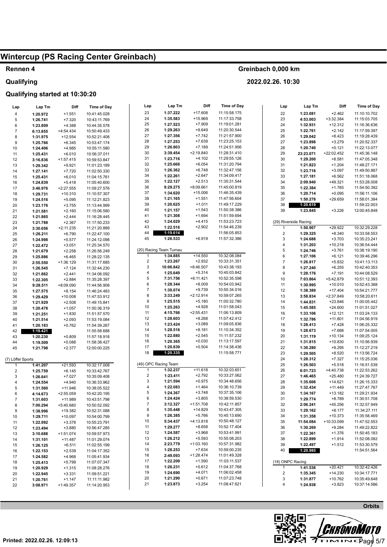## **Rennen 4**

#### **Qualifying**

#### **Qualifying started at 10:30:20**

| Lap                     | Lap Tm               | Diff                  | <b>Time of Day</b>           | Lap                     | Lap Tm                  |
|-------------------------|----------------------|-----------------------|------------------------------|-------------------------|-------------------------|
| 4                       | 1:20.972             | $+1.551$              | 10:41:45.028                 | 23                      | 1:37.222                |
| 5                       | 1:26.741             | $+7.320$              | 10:43:11.769                 | 24                      | 1:35.583                |
| 6                       | 1:23.809             | +4.388                | 10:44:35.578                 | 25                      | 1:27.523                |
| 7                       | 6:13.855             | +4:54.434             | 10:50:49.433                 | 26                      | 1:29.263                |
| 8                       | 1:31.975             | $+12.554$             | 10:52:21.408                 | 27                      | 1:27.356                |
| 9                       | 1:25.766             | $+6.345$              | 10:53:47.174                 | 28                      | 1:27.253                |
| 10                      | 1:24.406             | $+4.985$              | 10:55:11.580                 | 29                      | 1:26.803                |
| 11                      | 1:25.431             | $+6.010$              | 10:56:37.011                 | 30                      | 3:39.454                |
| 12                      | 3:16.836             | $+1:57.415$           | 10:59:53.847                 | 31                      | 1:23.716                |
| 13                      | 1:29.342             | $+9.921$              | 11:01:23.189                 | 32                      | 1:25.668                |
| 14                      | 1:27.141             | $+7.720$              | 11:02:50.330                 | 33                      | 1:26.362                |
| 15                      | 1:25.431             | $+6.010$              | 11:04:15.761                 | 34                      | 1:22.261                |
| 16                      | 1:24.839             | $+5.418$              | 11:05:40.600                 | 35<br>36                | 1:22.127<br>9:29.275    |
| 17                      | 3:46.976             | $+2:27.555$           | 11:09:27.576                 | 37                      | 1:34.620                |
| 18                      | 1:29.731             | $+10.310$             | 11:10:57.307                 | 38                      | 1:21.165                |
| 19<br>20                | 1:24.516<br>1:23.176 | $+5.095$<br>$+3.755$  | 11:12:21.823<br>11:13:44.999 | 39                      | 1:20.625                |
| 21                      | 1:21.581             | $+2.160$              | 11:15:06.580                 | 40                      | 1:21.157                |
| 22                      | 1:21.865             | $+2.444$              | 11:16:28.445                 | 41                      | 1:21.308                |
| 23                      | 1:21.788             | $+2.367$              | 11:17:50.233                 | 42                      | 1:24.029                |
| 24                      | 3:30.656             | $+2:11.235$           | 11:21:20.889                 | 43                      | 1:22.516                |
| 25                      | 1:26.211             | $+6.790$              | 11:22:47.100                 | 44                      | 1:19.614                |
| 26                      | 1:24.998             | $+5.577$              | 11:24:12.098                 | 45                      | 1:26.533                |
| 27                      | 1:22.472             | $+3.051$              | 11:25:34.570                 |                         |                         |
| 28                      | 1:21.679             | $+2.258$              | 11:26:56.249                 |                         | (20) Racing Team Turnau |
| 29                      | 1:25.886             | $+6.465$              | 11:28:22.135                 | 1                       | 1:34.885                |
| 30                      | 2:55.550             | +1:36.129             | 11:31:17.685                 | $\overline{\mathbf{c}}$ | 1:23.267                |
| 31                      | 1:26.545             | $+7.124$              | 11:32:44.230                 | 3                       | 10:06.842               |
| 32                      | 1:21.862             | $+2.441$              | 11:34:06.092                 | 4                       | 1:25.649                |
| 33                      | 1:22.305             | $+2.884$              | 11:35:28.397                 | 5                       | 7:31.756                |
| 34                      | 9:28.511             | +8:09.090             | 11:44:56.908                 | 6                       | 1:28.344                |
| 35                      | 1:27.575             | $+8.154$              | 11:46:24.483                 | $\overline{7}$          | 1:30.074                |
| 36                      | 1:29.429             | $+10.008$             | 11:47:53.912                 | 8                       | 3:33.249                |
| 37                      | 1:21.929             | $+2.508$              | 11:49:15.841                 | 9                       | 1:25.515                |
| 38                      | 1:20.478             | $+1.057$              | 11:50:36.319                 | 10<br>11                | 1:25.263<br>4:15.766    |
| 39                      | 1:21.251             | $+1.830$              | 11:51:57.570                 | 12                      | 1:28.603                |
| 40                      | 1:21.514             | $+2.093$              | 11:53:19.084                 | 13                      | 1:23.424                |
| 41                      | 1:20.183             | $+0.762$              | 11:54:39.267                 | 14                      | 1:28.516                |
| 42<br>43                | 1:19.421<br>1:20.230 | $+0.809$              | 11:55:58.688<br>11:57:18.918 | 15                      | 1:22.880                |
| 44                      | 1:19.509             | $+0.088$              | 11:58:38.427                 | 16                      | 1:20.365                |
| 45                      | 1:21.798             | $+2.377$              | 12:00:00.225                 | 17                      | 1:20.839                |
|                         |                      |                       |                              | 18                      | 1:20.335                |
| (7) Löffel Sports       |                      |                       |                              |                         |                         |
| 1                       | 1:41.207             | $+21.593$             | 10:32:17.008                 |                         | (49) OPC Racing Team    |
| $\overline{\mathbf{c}}$ | 1:25.759             | $+6.145$              | 10:33:42.767                 | 1                       | 1:32.237                |
| 3                       | 1:26.641             | $+7.027$              | 10:35:09.408                 | $\overline{\mathbf{c}}$ | 1:23.411                |
| 4                       | 1:24.554             | $+4.940$              | 10:36:33.962                 | 3                       | 1:21.594                |
| 5                       | 1:31.560             | +11.946               | 10:38:05.522                 | 4                       | 1:22.083                |
| 6                       | 4:14.673             | $+2:55.059$           | 10:42:20.195                 | 5                       | 1:24.367                |
| 7                       | 1:31.603             | +11.989               | 10:43:51.798                 | 6                       | 1:24.424                |
| 8                       | 7:00.294             | +5:40.680             | 10:50:52.092                 | 7                       | 3:12.327                |
| 9                       | 1:38.996             | +19.382               | 10:52:31.088                 | 8<br>9                  | 1:35.448                |
| 10                      | 1:29.711             | $+10.097$             | 10:54:00.799                 | 10                      | 1:26.385<br>5:34.437    |
| 11                      | 1:22.992             | $+3.378$              | 10:55:23.791                 | 11                      | 1:29.277                |
| 12<br>13                | 1:23.494<br>3:10.688 | $+3.880$<br>+1:51.074 | 10:56:47.285<br>10:59:57.973 | 12                      | 1:24.587                |
| 14                      | 1:31.101             | +11.487               | 11:01:29.074                 | 13                      | 1:26.212                |
| 15                      | 1:26.125             | $+6.511$              | 11:02:55.199                 | 14                      | 2:23.779                |
| 16                      | 1:22.153             | $+2.539$              | 11:04:17.352                 | 15                      | 1:28.253                |
| 17                      | 1:24.582             | +4.968                | 11:05:41.934                 | 16                      | 2:49.093                |
| 18                      | 1:25.413             | $+5.799$              | 11:07:07.347                 | 17                      | 1:22.209                |
| 19                      | 1:20.929             | $+1.315$              | 11:08:28.276                 | 18                      | 1:26.231                |
| 20                      | 1:22.945             | $+3.331$              | 11:09:51.221                 | 19                      | 1:24.690                |
| 21                      | 1:20.761             | $+1.147$              | 11:11:11.982                 | 20                      | 1:21.290                |
| 22                      | 3:08.971             | +1:49.357             | 11:14:20.953                 | 21                      | 1:23.873                |
|                         |                      |                       |                              |                         |                         |

#### **Greinbach 0,000 km**

**Diff**  +17.608 +15.969 +7.909 +9.649 +7.742 +7.639 +7.189 +2:19.840 +4.102 +6.054 +6.748 +2.647 +2.513 +8:09.661 +15.006 +1.551 +1.011 +1.543 +1.694 +4.415 +2.902 +6.919

**Time of Day**  11:15:58.175 11:17:33.758 11:19:01.281 11:20:30.544 11:21:57.900 11:23:25.153 11:24:51.956 11:28:31.410 11:29:55.126 11:31:20.794 11:32:47.156 11:34:09.417 11:35:31.544 11:45:00.819 11:46:35.439 11:47:56.604 11:49:17.229 11:50:38.386 11:51:59.694 11:53:23.723 11:54:46.239 11:56:05.853 11:57:32.386

+14.550 +2.932 +8:46.507 +5.314 +6:11.421 +8.009 +9.739 +2:12.914 +5.180 +4.928 +2:55.431 +8.268 +3.089 +8.181 +2.545 +0.030 +0.504

10:32:08.084 10:33:31.351 10:43:38.193 10:45:03.842 10:52:35.598 10:54:03.942 10:55:34.016 10:59:07.265 11:00:32.780 11:01:58.043 11:06:13.809 11:07:42.412 11:09:05.836 11:10:34.352 11:11:57.232 11:13:17.597 11:14:38.436 11:15:58.771

10:32:03.651 10:33:27.062 10:34:48.656 10:36:10.739 10:37:35.106 10:38:59.530 10:42:11.857 10:43:47.305 10:45:13.690 10:50:48.127 10:52:17.404 10:53:41.991 10:55:08.203 10:57:31.982 10:59:00.235 11:01:49.328 11:03:11.537 11:04:37.768 11:06:02.458 11:07:23.748 11:08:47.621

+11.618 +2.792 +0.975 +1.464 +3.748 +3.805 +1:51.708 +14.829 +5.766 +4:13.818 +8.658 +3.968 +5.593 +1:03.160 +7.634 +1:28.474 +1.590 +5.612 +4.071 +0.671 +3.254

**2022.02.26. 10:30** 

| Lap                   | Lap Tm    | Diff       | Time of Day  |
|-----------------------|-----------|------------|--------------|
| 22                    | 1:23.081  | $+2.462$   | 11:10:10.702 |
| 23                    | 4:53.003  | +3:32.384  | 11:15:03.705 |
| 24                    | 1:32.931  | $+12.312$  | 11:16:36.636 |
| 25                    | 1:22.761  | $+2.142$   | 11:17:59.397 |
| 26                    | 1:29.042  | $+8.423$   | 11:19:28.439 |
| 27                    | 1:23.898  | $+3.279$   | 11:20:52.337 |
| 28                    | 1:20.740  | $+0.121$   | 11:22:13.077 |
| 29                    | 23:23.071 | +22:02.452 | 11:45:36.148 |
| 30                    | 1:29.200  | $+8.581$   | 11:47:05.348 |
| 31                    | 1:21.823  | $+1.204$   | 11:48:27.171 |
| 32                    | 1:23.716  | $+3.097$   | 11:49:50.887 |
| 33                    | 1:27.181  | $+6.562$   | 11:51:18.068 |
| 34                    | 2:09.940  | +49.321    | 11:53:28.008 |
| 35                    | 1:22.384  | $+1.765$   | 11:54:50.392 |
| 36                    | 1:20.714  | $+0.095$   | 11:56:11.106 |
| 37                    | 1:50.278  | $+29.659$  | 11:58:01.384 |
| 38                    | 1:20.619  |            | 11:59:22.003 |
| 39                    | 1:23.845  |            | 12:00:45.848 |
|                       |           | +3.226     |              |
| (29) Riverside Racing |           |            |              |
| 1                     | 1:50.907  | +29.922    | 10:32:29.228 |
| 2                     | 1:29.325  | $+8.340$   | 10:33:58.553 |
| 3                     | 1:24.688  | $+3.703$   | 10:35:23.241 |
| 4                     | 1:31.203  | $+10.218$  | 10:36:54.444 |
| 5                     | 1:24.746  | $+3.761$   | 10:38:19.190 |
| 6                     | 1:27.106  | $+6.121$   | 10:39:46.296 |
| 7                     | 1:26.817  | $+5.832$   | 10:41:13.113 |
| 8                     | 1:27.240  | $+6.255$   | 10:42:40.353 |
| 9                     | 1:28.176  | $+7.191$   | 10:44:08.529 |
| 10                    | 7:03.864  | +5:42.879  | 10:51:12.393 |
| 11                    | 1:30.995  | $+10.010$  | 10:52:43.388 |
| 12                    | 1:38.389  | $+17.404$  | 10:54:21.777 |
| 13                    | 3:58.834  | +2:37.849  | 10:58:20.611 |
| 14                    | 1:44.831  | +23.846    | 11:00:05.442 |
| 15                    | 1:45.585  | $+24.600$  | 11:01:51.027 |
| 16                    | 1:33.106  | $+12.121$  | 11:03:24.133 |
| 17                    | 1:32.786  | $+11.801$  | 11:04:56.919 |
| 18                    | 1:28.413  | $+7.428$   | 11:06:25.332 |
| 19                    | 1:28.673  | $+7.688$   | 11:07:54.005 |
| 20                    | 1:31.119  | $+10.134$  | 11:09:25.124 |
| 21                    | 1:31.815  | $+10.830$  | 11:10:56.939 |
| 22                    | 1:30.280  | $+9.295$   | 11:12:27.219 |
| 23                    | 1:29.505  | $+8.520$   | 11:13:56.724 |
| 24                    | 1:28.312  | $+7.327$   | 11:15:25.036 |
| 25                    | 1:26.503  | $+5.518$   | 11:16:51.539 |
| 26                    | 6:01.723  | +4:40.738  | 11:22:53.262 |
| 27                    | 1:46.465  | $+25.480$  | 11:24:39.727 |
| 28                    | 1:35.606  | $+14.621$  | 11:26:15.333 |
| 29                    | 1:32.434  | $+11.449$  | 11:27:47.767 |
| 30                    | 1:34.167  | $+13.182$  | 11:29:21.934 |
| 31                    | 1:29.774  | +8.789     | 11:30:51.708 |
| 32                    | 2:06.241  | +45.256    | 11:32:57.949 |
| 33                    | 1:29.162  | $+8.177$   | 11:34:27.111 |
| 34                    | 1:31.358  | $+10.373$  | 11:35:58.469 |
| 35                    | 11:54.084 | +10:33.099 | 11:47:52.553 |
| 36                    | 1:30.269  | $+9.284$   | 11:49:22.822 |
| 37                    | 1:22.361  | $+1.376$   | 11:50:45.183 |
| 38                    | 1:22.899  | $+1.914$   | 11:52:08.082 |
| 39                    | 1:22.497  | $+1.512$   | 11:53:30.579 |
| 40                    | 1:20.985  |            | 11:54:51.564 |
|                       |           |            |              |
| (18) ONPC Racing      |           |            |              |
| 1                     | 1:41.536  | $+20.421$  | 10:32:42.426 |
| 2                     | 1:35.345  | $+14.230$  | 10:34:17.771 |
| 3                     | 1:31.877  | $+10.762$  | 10:35:49.648 |
| 4                     | 1:24.938  | $+3.823$   | 10:37:14.586 |

 $\chi$ **Licensed to: Hungary**   $T$ 

**Orbits**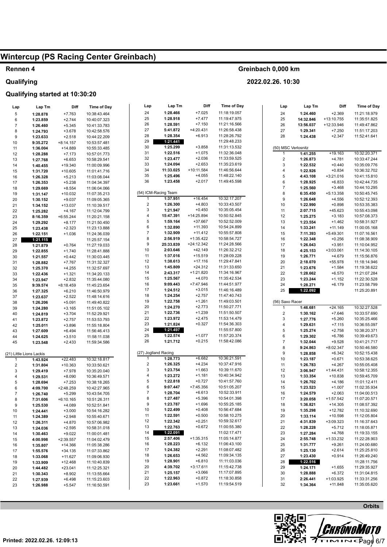**Qualifying started at 10:30:20** 

### **Rennen 4 Qualifying**

### **Greinbach 0,000 km**

**2022.02.26. 10:30** 

| Lap                           | Lap Tm               | Diff                   | <b>Time of Day</b>           | Lap                      | Lap Tm                | Diff                    | <b>Time of Day</b>           | Lap                           | Lap Tm               | Diff                  | Time of Day                  |
|-------------------------------|----------------------|------------------------|------------------------------|--------------------------|-----------------------|-------------------------|------------------------------|-------------------------------|----------------------|-----------------------|------------------------------|
| 5                             | 1:28.878             | $+7.763$               | 10:38:43.464                 | 24                       | 1:28.466              | $+7.025$                | 11:18:19.057                 | 24                            | 1:24.460             | $+2.369$              | 11:21:18.979                 |
| 6                             | 1:23.859             | $+2.744$               | 10:40:07.323                 | 25                       | 1:28.918              | $+7.477$                | 11:19:47.975                 | 25                            | 14:32.846            | +13:10.755            | 11:35:51.825                 |
| $\overline{7}$                | 1:26.460             | $+5.345$               | 10:41:33.783                 | 26                       | 1:28.591              | $+7.150$                | 11:21:16.566                 | 26                            | 13:56.037            | +12:33.946            | 11:49:47.862                 |
| 8                             | 1:24.793             | $+3.678$               | 10:42:58.576                 | 27                       | 5:41.872              | +4:20.431               | 11:26:58.438                 | 27                            | 1:29.341             | $+7.250$              | 11:51:17.203                 |
| 9                             | 1:23.633             | $+2.518$               | 10:44:22.209                 | 28                       | 1:28.354              | $+6.913$                | 11:28:26.792                 | 28                            | 1:24.438             | $+2.347$              | 11:52:41.641                 |
| 10                            | 9:35.272             | $+8:14.157$            | 10:53:57.481                 | 29                       | 1:21.441              |                         | 11:29:48.233                 |                               |                      |                       |                              |
| 11                            | 1:36.004             | +14.889                | 10:55:33.485                 | 30<br>31                 | 1:25.299<br>1:22.516  | $+3.858$<br>$+1.075$    | 11:31:13.532                 |                               | (50) MSC Verlosnitz  |                       |                              |
| 12                            | 1:28.288             | $+7.173$               | 10:57:01.773                 | 32                       | 1:23.477              | $+2.036$                | 11:32:36.048<br>11:33:59.525 |                               | 1:41.255             | $+19.163$             | 10:32:20.371                 |
| 13                            | 1:27.768             | $+6.653$               | 10:58:29.541                 | 33                       | 1:24.094              | $+2.653$                | 11:35:23.619                 | $\overline{2}$<br>$\mathsf 3$ | 1:26.873<br>1:22.532 | $+4.781$<br>$+0.440$  | 10:33:47.244<br>10:35:09.776 |
| 14<br>15                      | 1:40.455<br>1:31.720 | +19.340<br>$+10.605$   | 11:00:09.996<br>11:01:41.716 | 34                       | 11:33.025             | +10:11.584              | 11:46:56.644                 | 4                             | 1:22.926             | $+0.834$              | 10:36:32.702                 |
| 16                            | 1:26.328             | $+5.213$               | 11:03:08.044                 | 35                       | 1:25.496              | $+4.055$                | 11:48:22.140                 | $\sqrt{5}$                    | 4:43.108             | $+3:21.016$           | 10:41:15.810                 |
| 17                            | 1:26.353             | $+5.238$               | 11:04:34.397                 | 36                       | 1:23.458              | $+2.017$                | 11:49:45.598                 | 6                             | 1:28.925             | $+6.833$              | 10:42:44.735                 |
| 18                            | 1:29.669             | $+8.554$               | 11:06:04.066                 |                          |                       |                         |                              | $\overline{7}$                | 1:25.560             | $+3.468$              | 10:44:10.295                 |
| 19                            | 1:31.147             | $+10.032$              | 11:07:35.213                 |                          | (54) ICM-Racing Team  |                         |                              | 8                             | 6:35.450             | +5:13.358             | 10:50:45.745                 |
| 20                            | 1:30.152             | $+9.037$               | 11:09:05.365                 | $\mathbf{1}$             | 1:37.951              | $+16.454$               | 10:32:17.207                 | 9                             | 1:26.648             | $+4.556$              | 10:52:12.393                 |
| 21                            | 1:34.152             | $+13.037$              | 11:10:39.517                 | $\overline{\mathbf{c}}$  | 1:26.300              | $+4.803$                | 10:33:43.507                 | 10                            | 1:22.990             | $+0.898$              | 10:53:35.383                 |
| 22                            | 1:25.282             | $+4.167$               | 11:12:04.799                 | 3                        | 1:21.947              | $+0.450$                | 10:35:05.454                 | 11                            | 2:07.715             | +45.623               | 10:55:43.098                 |
| 23                            | 8:16.359             | +6:55.244              | 11:20:21.158                 | 4                        | 15:47.391             | +14:25.894              | 10:50:52.845                 | 12                            | 1:25.275             | $+3.183$              | 10:57:08.373                 |
| 24                            | 1:29.292             | $+8.177$               | 11:21:50.450                 | 5                        | 1:59.164              | $+37.667$               | 10:52:52.009                 | 13                            | 1:23.554             | $+1.462$              | 10:58:31.927                 |
| 25                            | 1:23.438             | $+2.323$               | 11:23:13.888                 | 6                        | 1:32.890              | $+11.393$               | 10:54:24.899                 | 14                            | 1:33.241             | $+11.149$             | 11:00:05.168                 |
| 26                            | 1:22.151             | $+1.036$               | 11:24:36.039                 | $\overline{\mathcal{I}}$ | 1:32.909              | $+11.412$               | 10:55:57.808                 | 15                            | 7:11.393             | $+5:49.301$           | 11:07:16.561                 |
| 27                            | 1:21.115             |                        | 11:25:57.154                 | 8                        | 2:56.919<br>25:33.839 | +1:35.422               | 10:58:54.727                 | 16                            | 1:22.348             | $+0.256$              | 11:08:38.909                 |
| 28                            | 1:21.879             | $+0.764$               | 11:27:19.033                 | 9<br>10                  |                       | +24:12.342<br>$+42.149$ | 11:24:28.566<br>11:26:32.212 | 17                            | 1:26.043             | $+3.951$              | 11:10:04.952                 |
| 29                            | 1:22.855             | $+1.740$               | 11:28:41.888                 | 11                       | 2:03.646<br>1:37.016  | $+15.519$               | 11:28:09.228                 | 18                            | 4:25.153             | +3:03.061             | 11:14:30.105                 |
| 30                            | 1:21.557             | $+0.442$               | 11:30:03.445                 | 12                       | 1:38.613              | $+17.116$               | 11:29:47.841                 | 19<br>20                      | 1:26.771<br>2:18.070 | $+4.679$<br>$+55.978$ | 11:15:56.876<br>11:18:14.946 |
| 31<br>32                      | 1:28.882<br>1:25.370 | $+7.767$<br>$+4.255$   | 11:31:32.327<br>11:32:57.697 | 13                       | 1:45.809              | $+24.312$               | 11:31:33.650                 | 21                            | 1:23.676             | $+1.584$              | 11:19:38.622                 |
| 33                            | 1:22.436             | $+1.321$               | 11:34:20.133                 | 14                       | 2:43.317              | +1:21.820               | 11:34:16.967                 | 22                            | 1:28.662             | $+6.570$              | 11:21:07.284                 |
| 34                            | 1:23.947             | $+2.832$               | 11:35:44.080                 | 15                       | 1:25.567              | $+4.070$                | 11:35:42.534                 | 23                            | 1:23.244             | $+1.152$              | 11:22:30.528                 |
| 35                            | 9:39.574             | +8:18.459              | 11:45:23.654                 | 16                       | 9:09.443              | +7:47.946               | 11:44:51.977                 | 24                            | 1:28.271             | $+6.179$              | 11:23:58.799                 |
| 36                            | 1:27.325             | $+6.210$               | 11:46:50.979                 | 17                       | 1:24.512              | $+3.015$                | 11:46:16.489                 | 25                            | 1:22.092             |                       | 11:25:20.891                 |
| 37                            | 1:23.637             | $+2.522$               | 11:48:14.616                 | 18                       | 1:24.254              | $+2.757$                | 11:47:40.743                 |                               |                      |                       |                              |
| 38                            | 1:26.206             | $+5.091$               | 11:49:40.822                 | 19                       | 1:22.758              | $+1.261$                | 11:49:03.501                 |                               | (56) Saxo Racer      |                       |                              |
| 39                            | 1:24.280             | $+3.165$               | 11:51:05.102                 | 20                       | 1:24.270              | $+2.773$                | 11:50:27.771                 | $\mathbf{1}$                  | 1:46.681             | $+24.165$             | 10:32:27.528                 |
| 40                            | 1:24.819             | $+3.704$               | 11:52:29.921                 | 21                       | 1:22.736              | $+1.239$                | 11:51:50.507                 | $\overline{\mathbf{c}}$       | 1:30.162             | $+7.646$              | 10:33:57.690                 |
| 41                            | 1:23.872             | $+2.757$               | 11:53:53.793                 | 22                       | 1:23.972              | $+2.475$                | 11:53:14.479                 | 3                             | 1:27.776             | $+5.260$              | 10:35:25.466                 |
| 42                            | 1:25.011             | $+3.896$               | 11:55:18.804                 | 23                       | 1:21.824              | $+0.327$                | 11:54:36.303                 | $\overline{\mathbf{4}}$       | 1:29.631             | $+7.115$              | 10:36:55.097                 |
| 43                            | 1:27.609             | $+6.494$               | 11:56:46.413                 | 24                       | 1:21.497              |                         | 11:55:57.800                 | $\sqrt{5}$                    | 1:25.274             | $+2.758$              | 10:38:20.371                 |
| 44                            | 1:24.625             | $+3.510$               | 11:58:11.038                 | 25<br>26                 | 1:22.574<br>1:21.712  | $+1.077$<br>$+0.215$    | 11:57:20.374<br>11:58:42.086 | $\,6$                         | 1:29.302             | $+6.786$              | 10:39:49.673                 |
| 45                            | 1:23.548             | $+2.433$               | 11:59:34.586                 |                          |                       |                         |                              | $\overline{\mathcal{I}}$<br>8 | 1:32.044<br>9:24.863 | $+9.528$<br>+8:02.347 | 10:41:21.717<br>10:50:46.580 |
|                               |                      |                        |                              | (27) Joglland Racing     |                       |                         |                              | 9                             | 1:28.858             | $+6.342$              | 10:52:15.438                 |
| (21) Little Lions Lackis<br>1 | 1:43.924             | $+22.483$              | 10:32:18.817                 | $\mathbf{1}$             | 1:28.773              | $+6.682$                | 10:36:21.591                 | 10                            | 1:23.187             | $+0.671$              | 10:53:38.625                 |
| $\overline{\mathbf{c}}$       | 1:31.804             | $+10.363$              | 10:33:50.621                 | 2                        | 1:26.325              | $+4.234$                | 10:37:47.916                 | 11                            | 1:26.783             | $+4.267$              | 10:55:05.408                 |
| 3                             | 1:29.419             | $+7.978$               | 10:35:20.040                 | 3                        | 1:23.754              | $+1.663$                | 10:39:11.670                 | 12                            | 3:06.947             | $+1:44.431$           | 10:58:12.355                 |
| $\overline{\mathbf{4}}$       | 1:29.531             | $+8.090$               | 10:36:49.571                 | 4                        | 1:23.272              | $+1.181$                | 10:40:34.942                 | 13                            | 1:33.354             | $+10.838$             | 10:59:45.709                 |
| 5                             | 1:28.694             | $+7.253$               | 10:38:18.265                 | 5                        | 1:22.818              | $+0.727$                | 10:41:57.760                 | 14                            | 1:26.702             | $+4.186$              | 11:01:12.411                 |
| 6                             | 4:09.700             | +2:48.259              | 10:42:27.965                 | 6                        | 9:07.447              | +7:45.356               | 10:51:05.207                 | 15                            | 1:23.523             | $+1.007$              | 11:02:35.934                 |
| $\overline{7}$                | 1:26.740             | $+5.299$               | 10:43:54.705                 | $\overline{7}$           | 1:28.704              | $+6.613$                | 10:52:33.911                 | 16                            | 1:24.579             | $+2.063$              | 11:04:00.513                 |
| 8                             | 7:31.606             | $+6:10.165$            | 10:51:26.311                 | 8                        | 1:27.487              | $+5.396$                | 10:54:01.398                 | 17                            | 3:20.058             | +1:57.542             | 11:07:20.571                 |
| 9                             | 1:25.530             | $+4.089$               | 10:52:51.841                 | 9                        | 1:23.787              | $+1.696$                | 10:55:25.185                 | 18                            | 1:36.821             | +14.305               | 11:08:57.392                 |
| 10                            | 1:24.441             | $+3.000$               | 10:54:16.282                 | 10                       | 1:22.499              | $+0.408$                | 10:56:47.684                 | 19                            | 1:35.298             | +12.782               | 11:10:32.690                 |
| 11                            | 1:24.389             | $+2.948$               | 10:55:40.671                 | 11<br>12                 | 1:22.591<br>1:22.342  | $+0.500$<br>$+0.251$    | 10:58:10.275<br>10:59:32.617 | 20                            | 1:33.114             | $+10.598$             | 11:12:05.804                 |
| 12                            | 1:26.311             | $+4.870$               | 10:57:06.982                 | 13                       | 1:22.763              | $+0.672$                | 11:00:55.380                 | 21                            | 4:31.839             | +3:09.323             | 11:16:37.643                 |
| 13                            | 1:24.036             | $+2.595$               | 10:58:31.018                 | 14                       | 1:22.091              |                         | 11:02:17.471                 | 22<br>23                      | 1:28.228<br>1:27.284 | $+5.712$<br>$+4.768$  | 11:18:05.871<br>11:19:33.155 |
| 14<br>15                      | 1:30.463             | $+9.022$               | 11:00:01.481                 | 15                       | 2:57.406              | $+1:35.315$             | 11:05:14.877                 | 24                            | 2:55.748             | +1:33.232             | 11:22:28.903                 |
| 16                            | 4:00.998<br>1:35.807 | +2:39.557<br>$+14.366$ | 11:04:02.479<br>11:05:38.286 | 16                       | 1:28.223              | $+6.132$                | 11:06:43.100                 | 25                            | 1:31.777             | $+9.261$              | 11:24:00.680                 |
| 17                            | 1:55.576             | $+34.135$              | 11:07:33.862                 | 17                       | 1:24.382              | $+2.291$                | 11:08:07.482                 | 26                            | 1:25.130             | $+2.614$              | 11:25:25.810                 |
| 18                            | 1:33.068             | $+11.627$              | 11:09:06.930                 | 18                       | 1:26.653              | $+4.562$                | 11:09:34.135                 | 27                            | 1:23.430             | $+0.914$              | 11:26:49.240                 |
| 19                            | 1:33.909             | $+12.468$              | 11:10:40.839                 | 19                       | 1:28.901              | $+6.810$                | 11:11:03.036                 | 28                            | 1:22.516             |                       | 11:28:11.756                 |
| 20                            | 1:44.482             | $+23.041$              | 11:12:25.321                 | 20                       | 4:39.702              | $+3:17.611$             | 11:15:42.738                 | 29                            | 1:24.171             | $+1.655$              | 11:29:35.927                 |
| 21                            | 1:30.343             | $+8.902$               | 11:13:55.664                 | 21                       | 1:25.157              | $+3.066$                | 11:17:07.895                 | 30                            | 1:28.888             | $+6.372$              | 11:31:04.815                 |
| 22                            | 1:27.939             | $+6.498$               | 11:15:23.603                 | 22                       | 1:22.963              | $+0.872$                | 11:18:30.858                 | 31                            | 2:26.441             | +1:03.925             | 11:33:31.256                 |
| 23                            | 1:26.988             | $+5.547$               | 11:16:50.591                 | 23                       | 1:23.661              | $+1.570$                | 11:19:54.519                 | 32                            | 1:34.364             | $+11.848$             | 11:35:05.620                 |
|                               |                      |                        |                              |                          |                       |                         |                              |                               |                      |                       |                              |



**Orbits**